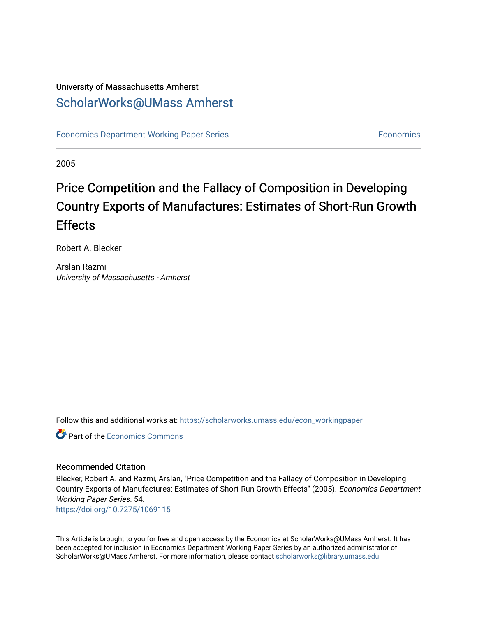# University of Massachusetts Amherst [ScholarWorks@UMass Amherst](https://scholarworks.umass.edu/)

[Economics Department Working Paper Series](https://scholarworks.umass.edu/econ_workingpaper) **Economics** [Economics](https://scholarworks.umass.edu/economics) Economics

2005

# Price Competition and the Fallacy of Composition in Developing Country Exports of Manufactures: Estimates of Short-Run Growth **Effects**

Robert A. Blecker

Arslan Razmi University of Massachusetts - Amherst

Follow this and additional works at: [https://scholarworks.umass.edu/econ\\_workingpaper](https://scholarworks.umass.edu/econ_workingpaper?utm_source=scholarworks.umass.edu%2Fecon_workingpaper%2F54&utm_medium=PDF&utm_campaign=PDFCoverPages) 

**C** Part of the [Economics Commons](http://network.bepress.com/hgg/discipline/340?utm_source=scholarworks.umass.edu%2Fecon_workingpaper%2F54&utm_medium=PDF&utm_campaign=PDFCoverPages)

#### Recommended Citation

Blecker, Robert A. and Razmi, Arslan, "Price Competition and the Fallacy of Composition in Developing Country Exports of Manufactures: Estimates of Short-Run Growth Effects" (2005). Economics Department Working Paper Series. 54.

<https://doi.org/10.7275/1069115>

This Article is brought to you for free and open access by the Economics at ScholarWorks@UMass Amherst. It has been accepted for inclusion in Economics Department Working Paper Series by an authorized administrator of ScholarWorks@UMass Amherst. For more information, please contact [scholarworks@library.umass.edu.](mailto:scholarworks@library.umass.edu)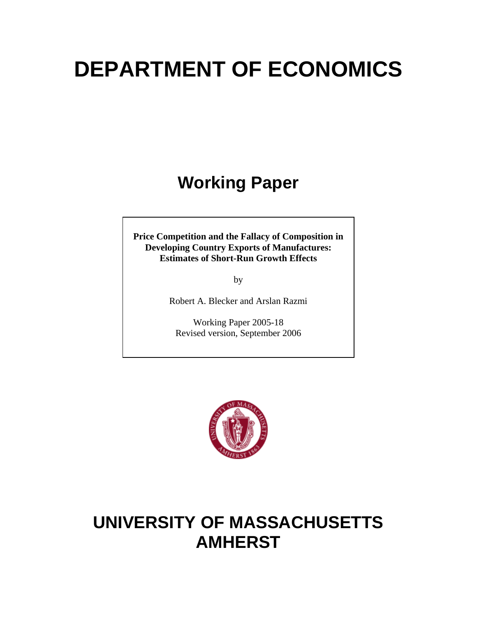# **DEPARTMENT OF ECONOMICS**

# **Working Paper**

**Price Competition and the Fallacy of Composition in Developing Country Exports of Manufactures: Estimates of Short-Run Growth Effects** 

by

Robert A. Blecker and Arslan Razmi

Working Paper 2005-18 Revised version, September 2006



# **UNIVERSITY OF MASSACHUSETTS AMHERST**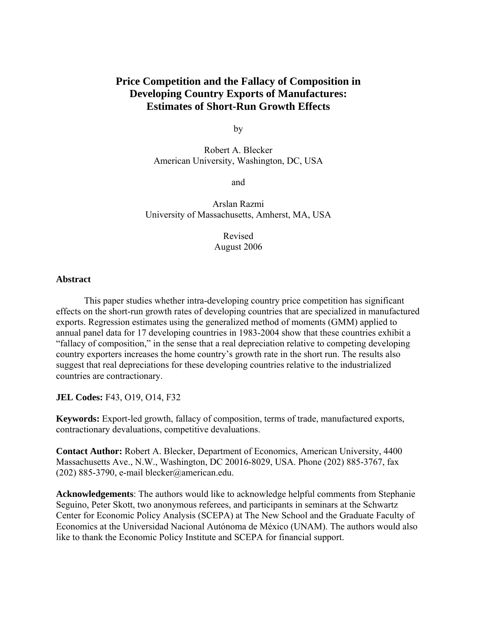## **Price Competition and the Fallacy of Composition in Developing Country Exports of Manufactures: Estimates of Short-Run Growth Effects**

by

Robert A. Blecker American University, Washington, DC, USA

and

Arslan Razmi University of Massachusetts, Amherst, MA, USA

> Revised August 2006

#### **Abstract**

 This paper studies whether intra-developing country price competition has significant effects on the short-run growth rates of developing countries that are specialized in manufactured exports. Regression estimates using the generalized method of moments (GMM) applied to annual panel data for 17 developing countries in 1983-2004 show that these countries exhibit a "fallacy of composition," in the sense that a real depreciation relative to competing developing country exporters increases the home country's growth rate in the short run. The results also suggest that real depreciations for these developing countries relative to the industrialized countries are contractionary.

**JEL Codes:** F43, O19, O14, F32

**Keywords:** Export-led growth, fallacy of composition, terms of trade, manufactured exports, contractionary devaluations, competitive devaluations.

**Contact Author:** Robert A. Blecker, Department of Economics, American University, 4400 Massachusetts Ave., N.W., Washington, DC 20016-8029, USA. Phone (202) 885-3767, fax (202) 885-3790, e-mail blecker@american.edu.

**Acknowledgements**: The authors would like to acknowledge helpful comments from Stephanie Seguino, Peter Skott, two anonymous referees, and participants in seminars at the Schwartz Center for Economic Policy Analysis (SCEPA) at The New School and the Graduate Faculty of Economics at the Universidad Nacional Autónoma de México (UNAM). The authors would also like to thank the Economic Policy Institute and SCEPA for financial support.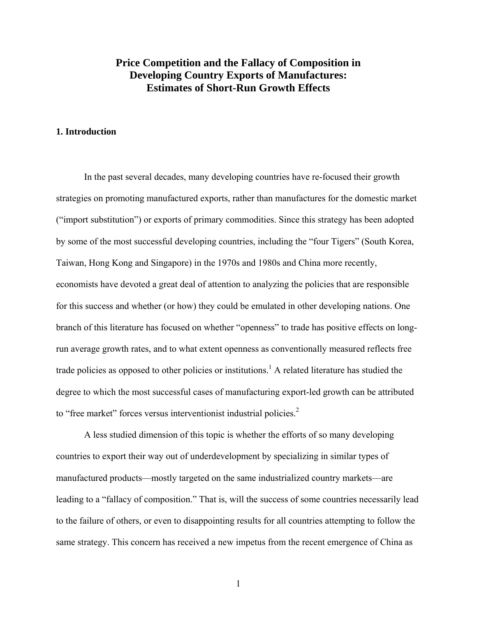## **Price Competition and the Fallacy of Composition in Developing Country Exports of Manufactures: Estimates of Short-Run Growth Effects**

#### **1. Introduction**

In the past several decades, many developing countries have re-focused their growth strategies on promoting manufactured exports, rather than manufactures for the domestic market ("import substitution") or exports of primary commodities. Since this strategy has been adopted by some of the most successful developing countries, including the "four Tigers" (South Korea, Taiwan, Hong Kong and Singapore) in the 1970s and 1980s and China more recently, economists have devoted a great deal of attention to analyzing the policies that are responsible for this success and whether (or how) they could be emulated in other developing nations. One branch of this literature has focused on whether "openness" to trade has positive effects on longrun average growth rates, and to what extent openness as conventionally measured reflects free trade policies as opposed to other policies or institutions.<sup>1</sup> A related literature has studied the degree to which the most successful cases of manufacturing export-led growth can be attributed to "free market" forces versus interventionist industrial policies.<sup>[2](#page-36-1)</sup>

A less studied dimension of this topic is whether the efforts of so many developing countries to export their way out of underdevelopment by specializing in similar types of manufactured products—mostly targeted on the same industrialized country markets—are leading to a "fallacy of composition." That is, will the success of some countries necessarily lead to the failure of others, or even to disappointing results for all countries attempting to follow the same strategy. This concern has received a new impetus from the recent emergence of China as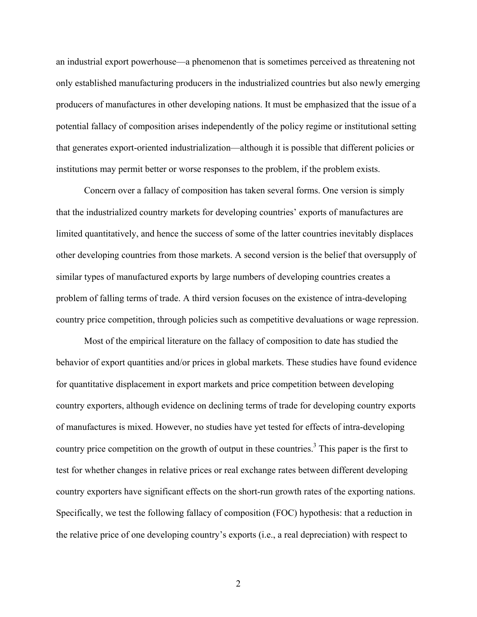an industrial export powerhouse—a phenomenon that is sometimes perceived as threatening not only established manufacturing producers in the industrialized countries but also newly emerging producers of manufactures in other developing nations. It must be emphasized that the issue of a potential fallacy of composition arises independently of the policy regime or institutional setting that generates export-oriented industrialization—although it is possible that different policies or institutions may permit better or worse responses to the problem, if the problem exists.

Concern over a fallacy of composition has taken several forms. One version is simply that the industrialized country markets for developing countries' exports of manufactures are limited quantitatively, and hence the success of some of the latter countries inevitably displaces other developing countries from those markets. A second version is the belief that oversupply of similar types of manufactured exports by large numbers of developing countries creates a problem of falling terms of trade. A third version focuses on the existence of intra-developing country price competition, through policies such as competitive devaluations or wage repression.

Most of the empirical literature on the fallacy of composition to date has studied the behavior of export quantities and/or prices in global markets. These studies have found evidence for quantitative displacement in export markets and price competition between developing country exporters, although evidence on declining terms of trade for developing country exports of manufactures is mixed. However, no studies have yet tested for effects of intra-developing country price competition on the growth of output in these countries.<sup>3</sup> This paper is the first to test for whether changes in relative prices or real exchange rates between different developing country exporters have significant effects on the short-run growth rates of the exporting nations. Specifically, we test the following fallacy of composition (FOC) hypothesis: that a reduction in the relative price of one developing country's exports (i.e., a real depreciation) with respect to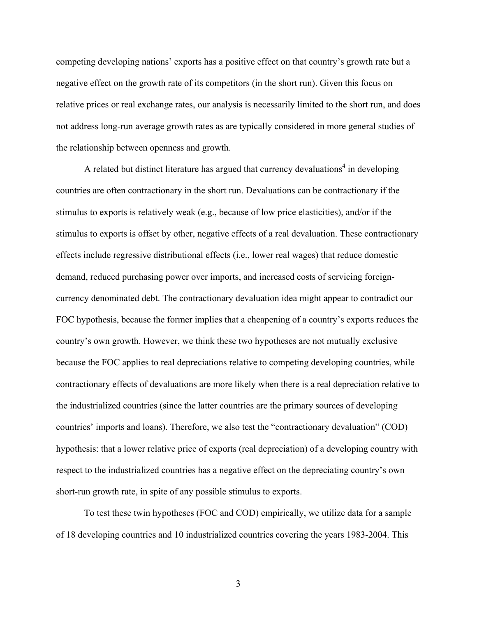competing developing nations' exports has a positive effect on that country's growth rate but a negative effect on the growth rate of its competitors (in the short run). Given this focus on relative prices or real exchange rates, our analysis is necessarily limited to the short run, and does not address long-run average growth rates as are typically considered in more general studies of the relationship between openness and growth.

A related but distinct literature has argued that currency devaluations<sup>4</sup> in developing countries are often contractionary in the short run. Devaluations can be contractionary if the stimulus to exports is relatively weak (e.g., because of low price elasticities), and/or if the stimulus to exports is offset by other, negative effects of a real devaluation. These contractionary effects include regressive distributional effects (i.e., lower real wages) that reduce domestic demand, reduced purchasing power over imports, and increased costs of servicing foreigncurrency denominated debt. The contractionary devaluation idea might appear to contradict our FOC hypothesis, because the former implies that a cheapening of a country's exports reduces the country's own growth. However, we think these two hypotheses are not mutually exclusive because the FOC applies to real depreciations relative to competing developing countries, while contractionary effects of devaluations are more likely when there is a real depreciation relative to the industrialized countries (since the latter countries are the primary sources of developing countries' imports and loans). Therefore, we also test the "contractionary devaluation" (COD) hypothesis: that a lower relative price of exports (real depreciation) of a developing country with respect to the industrialized countries has a negative effect on the depreciating country's own short-run growth rate, in spite of any possible stimulus to exports.

To test these twin hypotheses (FOC and COD) empirically, we utilize data for a sample of 18 developing countries and 10 industrialized countries covering the years 1983-2004. This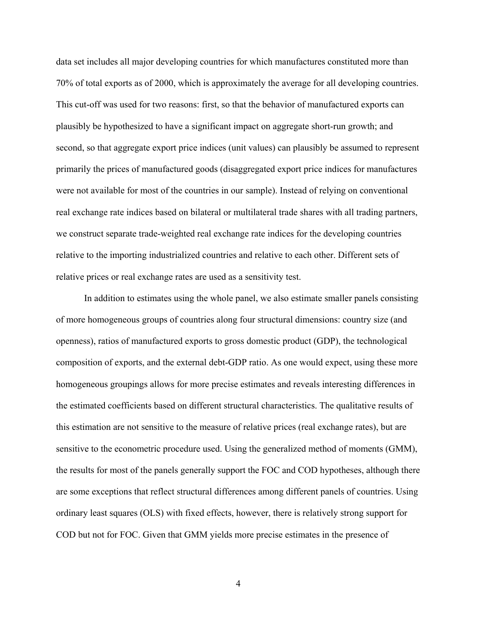data set includes all major developing countries for which manufactures constituted more than 70% of total exports as of 2000, which is approximately the average for all developing countries. This cut-off was used for two reasons: first, so that the behavior of manufactured exports can plausibly be hypothesized to have a significant impact on aggregate short-run growth; and second, so that aggregate export price indices (unit values) can plausibly be assumed to represent primarily the prices of manufactured goods (disaggregated export price indices for manufactures were not available for most of the countries in our sample). Instead of relying on conventional real exchange rate indices based on bilateral or multilateral trade shares with all trading partners, we construct separate trade-weighted real exchange rate indices for the developing countries relative to the importing industrialized countries and relative to each other. Different sets of relative prices or real exchange rates are used as a sensitivity test.

In addition to estimates using the whole panel, we also estimate smaller panels consisting of more homogeneous groups of countries along four structural dimensions: country size (and openness), ratios of manufactured exports to gross domestic product (GDP), the technological composition of exports, and the external debt-GDP ratio. As one would expect, using these more homogeneous groupings allows for more precise estimates and reveals interesting differences in the estimated coefficients based on different structural characteristics. The qualitative results of this estimation are not sensitive to the measure of relative prices (real exchange rates), but are sensitive to the econometric procedure used. Using the generalized method of moments (GMM), the results for most of the panels generally support the FOC and COD hypotheses, although there are some exceptions that reflect structural differences among different panels of countries. Using ordinary least squares (OLS) with fixed effects, however, there is relatively strong support for COD but not for FOC. Given that GMM yields more precise estimates in the presence of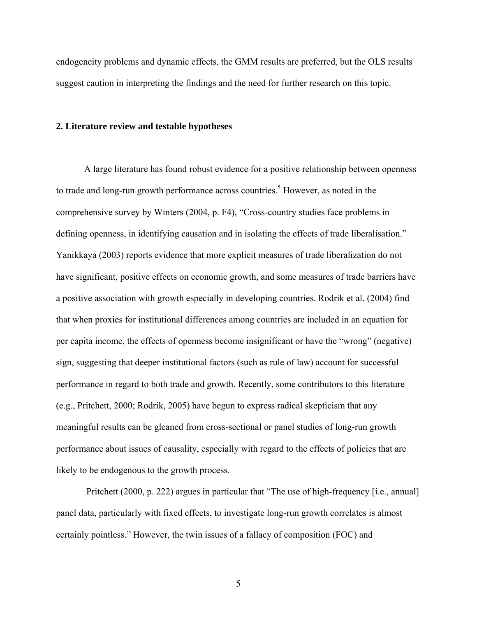endogeneity problems and dynamic effects, the GMM results are preferred, but the OLS results suggest caution in interpreting the findings and the need for further research on this topic.

#### **2. Literature review and testable hypotheses**

A large literature has found robust evidence for a positive relationship between openness to trade and long-run growth performance across countries.<sup>5</sup> However, as noted in the comprehensive survey by Winters (2004, p. F4), "Cross-country studies face problems in defining openness, in identifying causation and in isolating the effects of trade liberalisation." Yanikkaya (2003) reports evidence that more explicit measures of trade liberalization do not have significant, positive effects on economic growth, and some measures of trade barriers have a positive association with growth especially in developing countries. Rodrik et al. (2004) find that when proxies for institutional differences among countries are included in an equation for per capita income, the effects of openness become insignificant or have the "wrong" (negative) sign, suggesting that deeper institutional factors (such as rule of law) account for successful performance in regard to both trade and growth. Recently, some contributors to this literature (e.g., Pritchett, 2000; Rodrik, 2005) have begun to express radical skepticism that any meaningful results can be gleaned from cross-sectional or panel studies of long-run growth performance about issues of causality, especially with regard to the effects of policies that are likely to be endogenous to the growth process.

Pritchett (2000, p. 222) argues in particular that "The use of high-frequency [i.e., annual] panel data, particularly with fixed effects, to investigate long-run growth correlates is almost certainly pointless." However, the twin issues of a fallacy of composition (FOC) and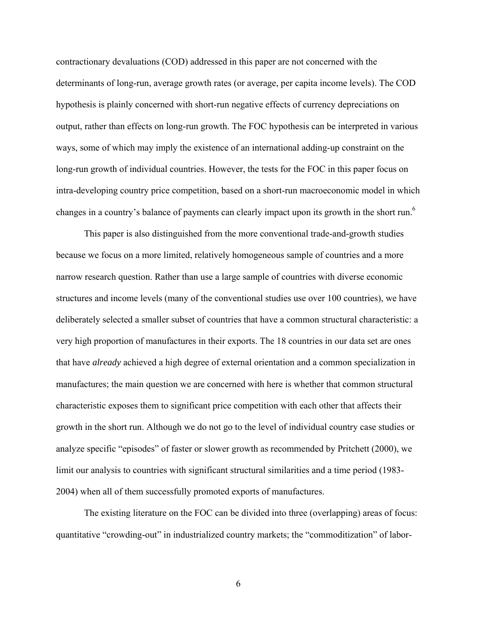contractionary devaluations (COD) addressed in this paper are not concerned with the determinants of long-run, average growth rates (or average, per capita income levels). The COD hypothesis is plainly concerned with short-run negative effects of currency depreciations on output, rather than effects on long-run growth. The FOC hypothesis can be interpreted in various ways, some of which may imply the existence of an international adding-up constraint on the long-run growth of individual countries. However, the tests for the FOC in this paper focus on intra-developing country price competition, based on a short-run macroeconomic model in which changes in a country's balance of payments can clearly impact upon its growth in the short run.<sup>[6](#page-36-5)</sup>

This paper is also distinguished from the more conventional trade-and-growth studies because we focus on a more limited, relatively homogeneous sample of countries and a more narrow research question. Rather than use a large sample of countries with diverse economic structures and income levels (many of the conventional studies use over 100 countries), we have deliberately selected a smaller subset of countries that have a common structural characteristic: a very high proportion of manufactures in their exports. The 18 countries in our data set are ones that have *already* achieved a high degree of external orientation and a common specialization in manufactures; the main question we are concerned with here is whether that common structural characteristic exposes them to significant price competition with each other that affects their growth in the short run. Although we do not go to the level of individual country case studies or analyze specific "episodes" of faster or slower growth as recommended by Pritchett (2000), we limit our analysis to countries with significant structural similarities and a time period (1983- 2004) when all of them successfully promoted exports of manufactures.

The existing literature on the FOC can be divided into three (overlapping) areas of focus: quantitative "crowding-out" in industrialized country markets; the "commoditization" of labor-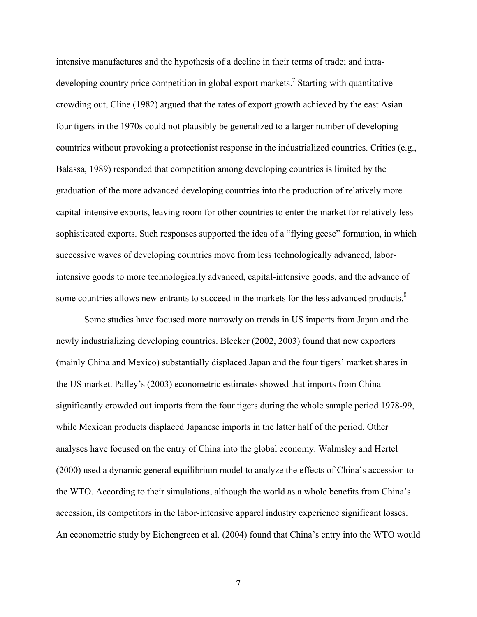intensive manufactures and the hypothesis of a decline in their terms of trade; and intradeveloping country price competition in global export markets.<sup>7</sup> Starting with quantitative crowding out, Cline (1982) argued that the rates of export growth achieved by the east Asian four tigers in the 1970s could not plausibly be generalized to a larger number of developing countries without provoking a protectionist response in the industrialized countries. Critics (e.g., Balassa, 1989) responded that competition among developing countries is limited by the graduation of the more advanced developing countries into the production of relatively more capital-intensive exports, leaving room for other countries to enter the market for relatively less sophisticated exports. Such responses supported the idea of a "flying geese" formation, in which successive waves of developing countries move from less technologically advanced, laborintensive goods to more technologically advanced, capital-intensive goods, and the advance of some countries allows new entrants to succeed in the markets for the less advanced products.<sup>8</sup>

Some studies have focused more narrowly on trends in US imports from Japan and the newly industrializing developing countries. Blecker (2002, 2003) found that new exporters (mainly China and Mexico) substantially displaced Japan and the four tigers' market shares in the US market. Palley's (2003) econometric estimates showed that imports from China significantly crowded out imports from the four tigers during the whole sample period 1978-99, while Mexican products displaced Japanese imports in the latter half of the period. Other analyses have focused on the entry of China into the global economy. Walmsley and Hertel (2000) used a dynamic general equilibrium model to analyze the effects of China's accession to the WTO. According to their simulations, although the world as a whole benefits from China's accession, its competitors in the labor-intensive apparel industry experience significant losses. An econometric study by Eichengreen et al. (2004) found that China's entry into the WTO would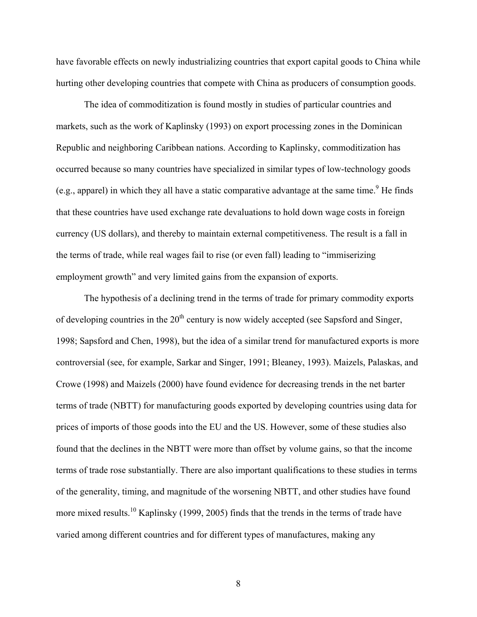have favorable effects on newly industrializing countries that export capital goods to China while hurting other developing countries that compete with China as producers of consumption goods.

The idea of commoditization is found mostly in studies of particular countries and markets, such as the work of Kaplinsky (1993) on export processing zones in the Dominican Republic and neighboring Caribbean nations. According to Kaplinsky, commoditization has occurred because so many countries have specialized in similar types of low-technology goods (e.g., apparel) in which they all have a static comparative advantage at the same time.<sup>[9](#page-36-8)</sup> He finds that these countries have used exchange rate devaluations to hold down wage costs in foreign currency (US dollars), and thereby to maintain external competitiveness. The result is a fall in the terms of trade, while real wages fail to rise (or even fall) leading to "immiserizing employment growth" and very limited gains from the expansion of exports.

The hypothesis of a declining trend in the terms of trade for primary commodity exports of developing countries in the  $20<sup>th</sup>$  century is now widely accepted (see Sapsford and Singer, 1998; Sapsford and Chen, 1998), but the idea of a similar trend for manufactured exports is more controversial (see, for example, Sarkar and Singer, 1991; Bleaney, 1993). Maizels, Palaskas, and Crowe (1998) and Maizels (2000) have found evidence for decreasing trends in the net barter terms of trade (NBTT) for manufacturing goods exported by developing countries using data for prices of imports of those goods into the EU and the US. However, some of these studies also found that the declines in the NBTT were more than offset by volume gains, so that the income terms of trade rose substantially. There are also important qualifications to these studies in terms of the generality, timing, and magnitude of the worsening NBTT, and other studies have found more mixed results.<sup>10</sup> Kaplinsky (1999, 2005) finds that the trends in the terms of trade have varied among different countries and for different types of manufactures, making any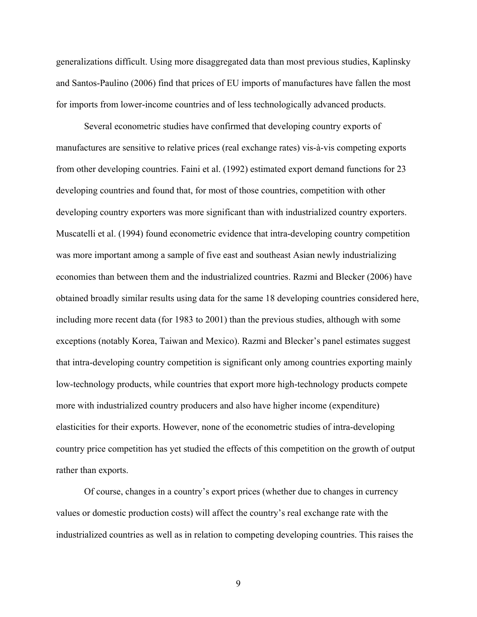generalizations difficult. Using more disaggregated data than most previous studies, Kaplinsky and Santos-Paulino (2006) find that prices of EU imports of manufactures have fallen the most for imports from lower-income countries and of less technologically advanced products.

Several econometric studies have confirmed that developing country exports of manufactures are sensitive to relative prices (real exchange rates) vis-à-vis competing exports from other developing countries. Faini et al. (1992) estimated export demand functions for 23 developing countries and found that, for most of those countries, competition with other developing country exporters was more significant than with industrialized country exporters. Muscatelli et al. (1994) found econometric evidence that intra-developing country competition was more important among a sample of five east and southeast Asian newly industrializing economies than between them and the industrialized countries. Razmi and Blecker (2006) have obtained broadly similar results using data for the same 18 developing countries considered here, including more recent data (for 1983 to 2001) than the previous studies, although with some exceptions (notably Korea, Taiwan and Mexico). Razmi and Blecker's panel estimates suggest that intra-developing country competition is significant only among countries exporting mainly low-technology products, while countries that export more high-technology products compete more with industrialized country producers and also have higher income (expenditure) elasticities for their exports. However, none of the econometric studies of intra-developing country price competition has yet studied the effects of this competition on the growth of output rather than exports.

Of course, changes in a country's export prices (whether due to changes in currency values or domestic production costs) will affect the country's real exchange rate with the industrialized countries as well as in relation to competing developing countries. This raises the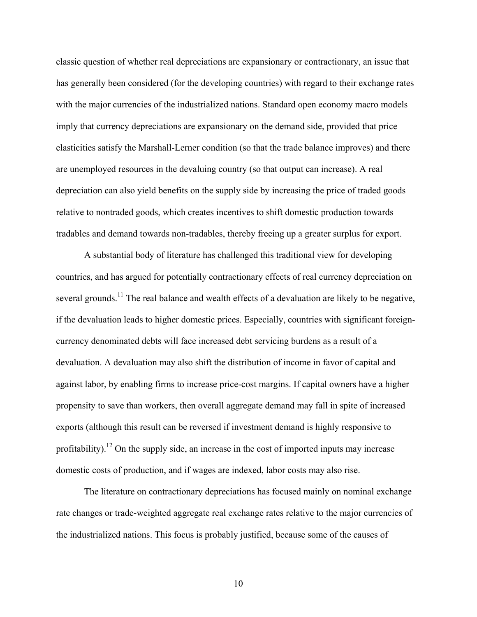classic question of whether real depreciations are expansionary or contractionary, an issue that has generally been considered (for the developing countries) with regard to their exchange rates with the major currencies of the industrialized nations. Standard open economy macro models imply that currency depreciations are expansionary on the demand side, provided that price elasticities satisfy the Marshall-Lerner condition (so that the trade balance improves) and there are unemployed resources in the devaluing country (so that output can increase). A real depreciation can also yield benefits on the supply side by increasing the price of traded goods relative to nontraded goods, which creates incentives to shift domestic production towards tradables and demand towards non-tradables, thereby freeing up a greater surplus for export.

A substantial body of literature has challenged this traditional view for developing countries, and has argued for potentially contractionary effects of real currency depreciation on several grounds.<sup>11</sup> The real balance and wealth effects of a devaluation are likely to be negative, if the devaluation leads to higher domestic prices. Especially, countries with significant foreigncurrency denominated debts will face increased debt servicing burdens as a result of a devaluation. A devaluation may also shift the distribution of income in favor of capital and against labor, by enabling firms to increase price-cost margins. If capital owners have a higher propensity to save than workers, then overall aggregate demand may fall in spite of increased exports (although this result can be reversed if investment demand is highly responsive to profitability).<sup>12</sup> On the supply side, an increase in the cost of imported inputs may increase domestic costs of production, and if wages are indexed, labor costs may also rise.

The literature on contractionary depreciations has focused mainly on nominal exchange rate changes or trade-weighted aggregate real exchange rates relative to the major currencies of the industrialized nations. This focus is probably justified, because some of the causes of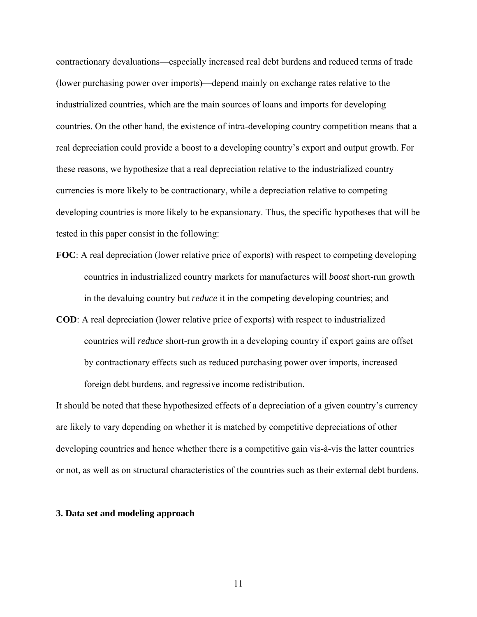contractionary devaluations—especially increased real debt burdens and reduced terms of trade (lower purchasing power over imports)—depend mainly on exchange rates relative to the industrialized countries, which are the main sources of loans and imports for developing countries. On the other hand, the existence of intra-developing country competition means that a real depreciation could provide a boost to a developing country's export and output growth. For these reasons, we hypothesize that a real depreciation relative to the industrialized country currencies is more likely to be contractionary, while a depreciation relative to competing developing countries is more likely to be expansionary. Thus, the specific hypotheses that will be tested in this paper consist in the following:

- **FOC**: A real depreciation (lower relative price of exports) with respect to competing developing countries in industrialized country markets for manufactures will *boost* short-run growth in the devaluing country but *reduce* it in the competing developing countries; and
- **COD**: A real depreciation (lower relative price of exports) with respect to industrialized countries will *reduce* short-run growth in a developing country if export gains are offset by contractionary effects such as reduced purchasing power over imports, increased foreign debt burdens, and regressive income redistribution.

It should be noted that these hypothesized effects of a depreciation of a given country's currency are likely to vary depending on whether it is matched by competitive depreciations of other developing countries and hence whether there is a competitive gain vis-à-vis the latter countries or not, as well as on structural characteristics of the countries such as their external debt burdens.

#### **3. Data set and modeling approach**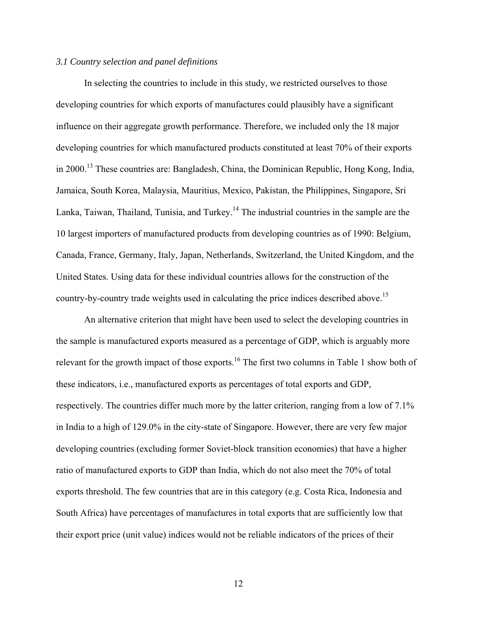#### *3.1 Country selection and panel definitions*

In selecting the countries to include in this study, we restricted ourselves to those developing countries for which exports of manufactures could plausibly have a significant influence on their aggregate growth performance. Therefore, we included only the 18 major developing countries for which manufactured products constituted at least 70% of their exports in 2000.<sup>13</sup> These countries are: Bangladesh, China, the Dominican Republic, Hong Kong, India, Jamaica, South Korea, Malaysia, Mauritius, Mexico, Pakistan, the Philippines, Singapore, Sri Lanka, Taiwan, Thailand, Tunisia, and Turkey.<sup>14</sup> The industrial countries in the sample are the 10 largest importers of manufactured products from developing countries as of 1990: Belgium, Canada, France, Germany, Italy, Japan, Netherlands, Switzerland, the United Kingdom, and the United States. Using data for these individual countries allows for the construction of the country-by-country trade weights used in calculating the price indices described above.<sup>15</sup>

An alternative criterion that might have been used to select the developing countries in the sample is manufactured exports measured as a percentage of GDP, which is arguably more relevant for the growth impact of those exports.<sup>16</sup> The first two columns in Table 1 show both of these indicators, i.e., manufactured exports as percentages of total exports and GDP, respectively. The countries differ much more by the latter criterion, ranging from a low of 7.1% in India to a high of 129.0% in the city-state of Singapore. However, there are very few major developing countries (excluding former Soviet-block transition economies) that have a higher ratio of manufactured exports to GDP than India, which do not also meet the 70% of total exports threshold. The few countries that are in this category (e.g. Costa Rica, Indonesia and South Africa) have percentages of manufactures in total exports that are sufficiently low that their export price (unit value) indices would not be reliable indicators of the prices of their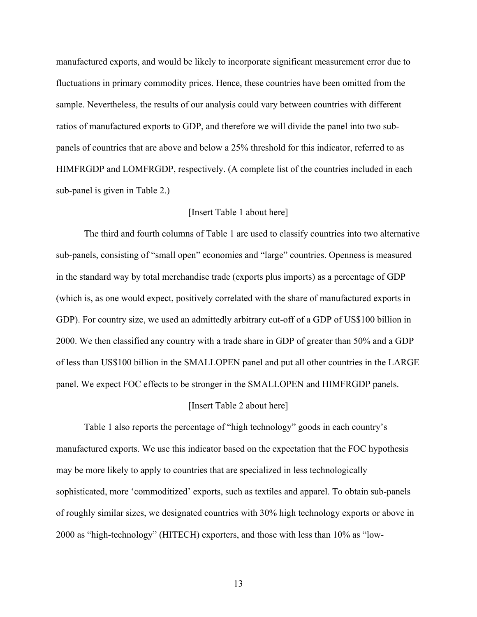manufactured exports, and would be likely to incorporate significant measurement error due to fluctuations in primary commodity prices. Hence, these countries have been omitted from the sample. Nevertheless, the results of our analysis could vary between countries with different ratios of manufactured exports to GDP, and therefore we will divide the panel into two subpanels of countries that are above and below a 25% threshold for this indicator, referred to as HIMFRGDP and LOMFRGDP, respectively. (A complete list of the countries included in each sub-panel is given in Table 2.)

#### [Insert Table 1 about here]

The third and fourth columns of Table 1 are used to classify countries into two alternative sub-panels, consisting of "small open" economies and "large" countries. Openness is measured in the standard way by total merchandise trade (exports plus imports) as a percentage of GDP (which is, as one would expect, positively correlated with the share of manufactured exports in GDP). For country size, we used an admittedly arbitrary cut-off of a GDP of US\$100 billion in 2000. We then classified any country with a trade share in GDP of greater than 50% and a GDP of less than US\$100 billion in the SMALLOPEN panel and put all other countries in the LARGE panel. We expect FOC effects to be stronger in the SMALLOPEN and HIMFRGDP panels.

#### [Insert Table 2 about here]

Table 1 also reports the percentage of "high technology" goods in each country's manufactured exports. We use this indicator based on the expectation that the FOC hypothesis may be more likely to apply to countries that are specialized in less technologically sophisticated, more 'commoditized' exports, such as textiles and apparel. To obtain sub-panels of roughly similar sizes, we designated countries with 30% high technology exports or above in 2000 as "high-technology" (HITECH) exporters, and those with less than 10% as "low-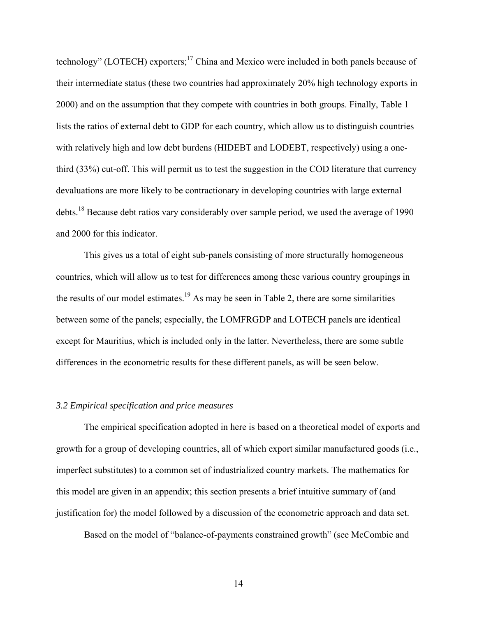technology" (LOTECH) exporters;<sup>17</sup> China and Mexico were included in both panels because of their intermediate status (these two countries had approximately 20% high technology exports in 2000) and on the assumption that they compete with countries in both groups. Finally, Table 1 lists the ratios of external debt to GDP for each country, which allow us to distinguish countries with relatively high and low debt burdens (HIDEBT and LODEBT, respectively) using a onethird (33%) cut-off. This will permit us to test the suggestion in the COD literature that currency devaluations are more likely to be contractionary in developing countries with large external debts.<sup>18</sup> Because debt ratios vary considerably over sample period, we used the average of 1990 and 2000 for this indicator.

This gives us a total of eight sub-panels consisting of more structurally homogeneous countries, which will allow us to test for differences among these various country groupings in the results of our model estimates.<sup>19</sup> As may be seen in Table 2, there are some similarities between some of the panels; especially, the LOMFRGDP and LOTECH panels are identical except for Mauritius, which is included only in the latter. Nevertheless, there are some subtle differences in the econometric results for these different panels, as will be seen below.

#### *3.2 Empirical specification and price measures*

The empirical specification adopted in here is based on a theoretical model of exports and growth for a group of developing countries, all of which export similar manufactured goods (i.e., imperfect substitutes) to a common set of industrialized country markets. The mathematics for this model are given in an appendix; this section presents a brief intuitive summary of (and justification for) the model followed by a discussion of the econometric approach and data set.

Based on the model of "balance-of-payments constrained growth" (see McCombie and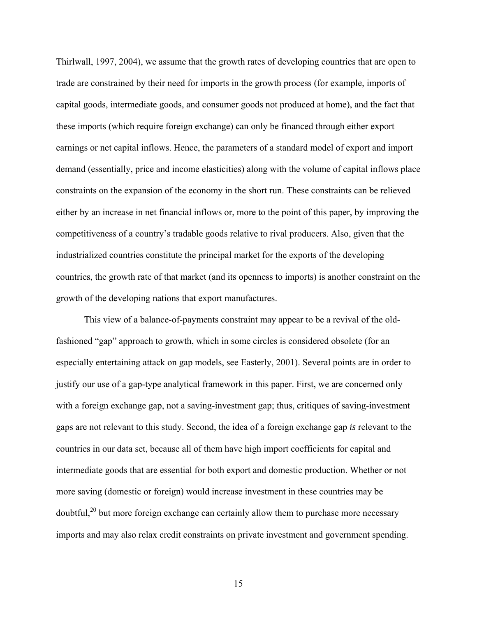Thirlwall, 1997, 2004), we assume that the growth rates of developing countries that are open to trade are constrained by their need for imports in the growth process (for example, imports of capital goods, intermediate goods, and consumer goods not produced at home), and the fact that these imports (which require foreign exchange) can only be financed through either export earnings or net capital inflows. Hence, the parameters of a standard model of export and import demand (essentially, price and income elasticities) along with the volume of capital inflows place constraints on the expansion of the economy in the short run. These constraints can be relieved either by an increase in net financial inflows or, more to the point of this paper, by improving the competitiveness of a country's tradable goods relative to rival producers. Also, given that the industrialized countries constitute the principal market for the exports of the developing countries, the growth rate of that market (and its openness to imports) is another constraint on the growth of the developing nations that export manufactures.

This view of a balance-of-payments constraint may appear to be a revival of the oldfashioned "gap" approach to growth, which in some circles is considered obsolete (for an especially entertaining attack on gap models, see Easterly, 2001). Several points are in order to justify our use of a gap-type analytical framework in this paper. First, we are concerned only with a foreign exchange gap, not a saving-investment gap; thus, critiques of saving-investment gaps are not relevant to this study. Second, the idea of a foreign exchange gap *is* relevant to the countries in our data set, because all of them have high import coefficients for capital and intermediate goods that are essential for both export and domestic production. Whether or not more saving (domestic or foreign) would increase investment in these countries may be doubtful,<sup>20</sup> but more foreign exchange can certainly allow them to purchase more necessary imports and may also relax credit constraints on private investment and government spending.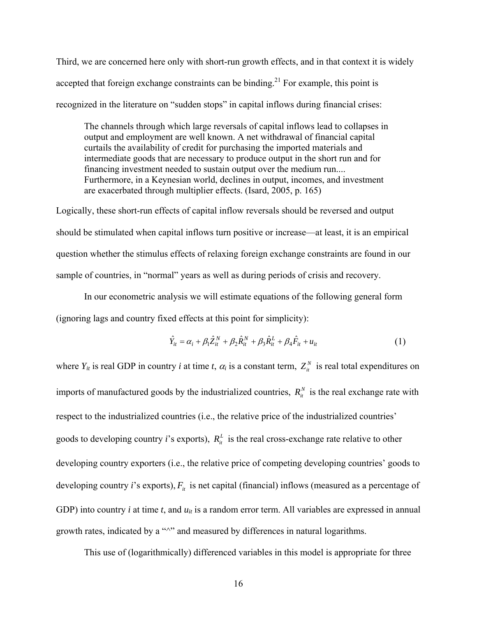Third, we are concerned here only with short-run growth effects, and in that context it is widely accepted that foreign exchange constraints can be binding.<sup>21</sup> For example, this point is recognized in the literature on "sudden stops" in capital inflows during financial crises:

The channels through which large reversals of capital inflows lead to collapses in output and employment are well known. A net withdrawal of financial capital curtails the availability of credit for purchasing the imported materials and intermediate goods that are necessary to produce output in the short run and for financing investment needed to sustain output over the medium run.... Furthermore, in a Keynesian world, declines in output, incomes, and investment are exacerbated through multiplier effects. (Isard, 2005, p. 165)

Logically, these short-run effects of capital inflow reversals should be reversed and output should be stimulated when capital inflows turn positive or increase—at least, it is an empirical question whether the stimulus effects of relaxing foreign exchange constraints are found in our sample of countries, in "normal" years as well as during periods of crisis and recovery.

In our econometric analysis we will estimate equations of the following general form (ignoring lags and country fixed effects at this point for simplicity):

$$
\hat{Y}_{it} = \alpha_i + \beta_1 \hat{Z}_{it}^N + \beta_2 \hat{R}_{it}^N + \beta_3 \hat{R}_{it}^L + \beta_4 \hat{F}_{it} + u_{it}
$$
(1)

where  $Y_{it}$  is real GDP in country *i* at time *t*,  $\alpha_i$  is a constant term,  $Z_{it}^N$  is real total expenditures on imports of manufactured goods by the industrialized countries,  $R_{it}^{N}$  is the real exchange rate with respect to the industrialized countries (i.e., the relative price of the industrialized countries' goods to developing country *i*'s exports),  $R_i^L$  is the real cross-exchange rate relative to other developing country exporters (i.e., the relative price of competing developing countries' goods to developing country *i*'s exports),  $F_{it}$  is net capital (financial) inflows (measured as a percentage of GDP) into country  $i$  at time  $t$ , and  $u_{it}$  is a random error term. All variables are expressed in annual growth rates, indicated by a " $\sim$ " and measured by differences in natural logarithms.

This use of (logarithmically) differenced variables in this model is appropriate for three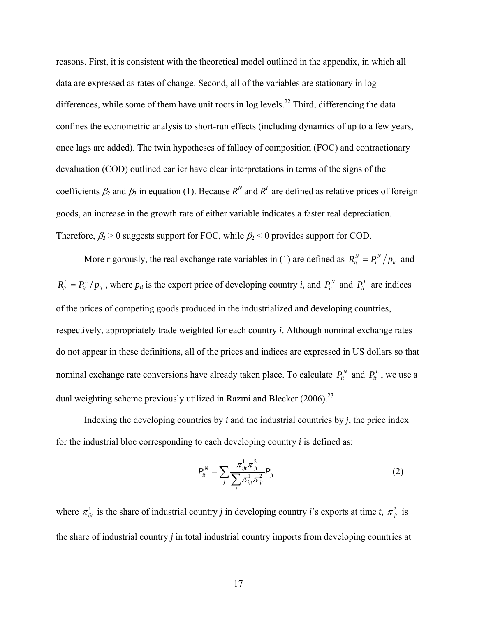reasons. First, it is consistent with the theoretical model outlined in the appendix, in which all data are expressed as rates of change. Second, all of the variables are stationary in log differences, while some of them have unit roots in log levels.<sup>22</sup> Third, differencing the data confines the econometric analysis to short-run effects (including dynamics of up to a few years, once lags are added). The twin hypotheses of fallacy of composition (FOC) and contractionary devaluation (COD) outlined earlier have clear interpretations in terms of the signs of the coefficients  $\beta_2$  and  $\beta_3$  in equation (1). Because  $R^N$  and  $R^L$  are defined as relative prices of foreign goods, an increase in the growth rate of either variable indicates a faster real depreciation. Therefore,  $\beta_3 > 0$  suggests support for FOC, while  $\beta_2 < 0$  provides support for COD.

More rigorously, the real exchange rate variables in (1) are defined as  $R_{it}^N = P_{it}^N / p_{it}$ *it*  $R_{it}^N = P_{it}^N/p_{it}$  and *it L*  $R_i^L = P_i^L / p_i$ , where  $p_i$  is the export price of developing country *i*, and  $P_i^N$  and  $P_i^L$  are indices of the prices of competing goods produced in the industrialized and developing countries, respectively, appropriately trade weighted for each country *i*. Although nominal exchange rates do not appear in these definitions, all of the prices and indices are expressed in US dollars so that nominal exchange rate conversions have already taken place. To calculate  $P_i^N$  and  $P_i^L$ , we use a dual weighting scheme previously utilized in Razmi and Blecker  $(2006)^{23}$ 

Indexing the developing countries by  $i$  and the industrial countries by  $j$ , the price index for the industrial bloc corresponding to each developing country *i* is defined as:

$$
P_{it}^{N} = \sum_{j} \frac{\pi_{ijt}^{1} \pi_{jt}^{2}}{\sum_{j} \pi_{ijt}^{1} \pi_{jt}^{2}} P_{jt}
$$
 (2)

where  $\pi_{ij}^1$  is the share of industrial country *j* in developing country *i*'s exports at time *t*,  $\pi_{jt}^2$  is the share of industrial country *j* in total industrial country imports from developing countries at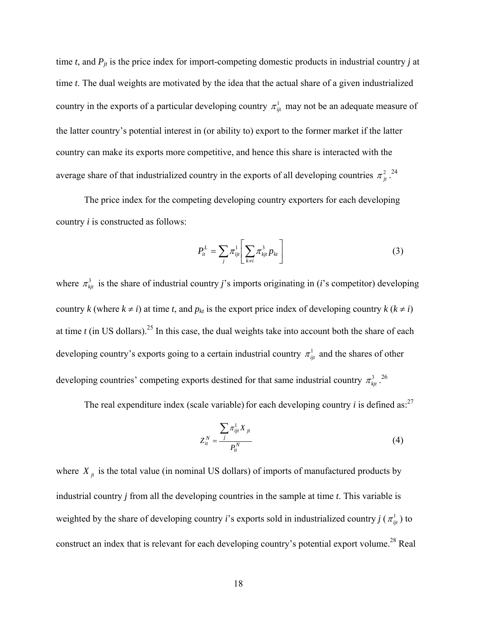time  $t$ , and  $P_{jt}$  is the price index for import-competing domestic products in industrial country  $j$  at time *t*. The dual weights are motivated by the idea that the actual share of a given industrialized country in the exports of a particular developing country  $\pi_{ij}^1$  may not be an adequate measure of the latter country's potential interest in (or ability to) export to the former market if the latter country can make its exports more competitive, and hence this share is interacted with the average share of that industrialized country in the exports of all developing countries  $\pi_{it}^2$ .<sup>[24](#page-36-23)</sup>

The price index for the competing developing country exporters for each developing country *i* is constructed as follows:

$$
P_{it}^L = \sum_j \pi_{ijt}^1 \left[ \sum_{k \neq i} \pi_{kjt}^3 p_{kt} \right]
$$
 (3)

where  $\pi_{ki}^3$  is the share of industrial country *j*'s imports originating in (*i*'s competitor) developing country *k* (where  $k \neq i$ ) at time *t*, and  $p_{kt}$  is the export price index of developing country  $k$  ( $k \neq i$ ) at time  $t$  (in US dollars).<sup>25</sup> In this case, the dual weights take into account both the share of each developing country's exports going to a certain industrial country  $\pi_{ij}^1$  and the shares of other developing countries' competing exports destined for that same industrial country  $\pi_{kji}^3$ . <sup>26</sup>

The real expenditure index (scale variable) for each developing country  $i$  is defined as:<sup>[27](#page-36-26)</sup>

$$
Z_{it}^N = \frac{\sum_{j} \pi_{ijt}^1 X_{jt}}{P_{it}^N} \tag{4}
$$

where  $X_{jt}$  is the total value (in nominal US dollars) of imports of manufactured products by industrial country *j* from all the developing countries in the sample at time *t*. This variable is weighted by the share of developing country *i*'s exports sold in industrialized country *j* ( $\pi_{ij}^1$ ) to construct an index that is relevant for each developing country's potential export volume.<sup>28</sup> Real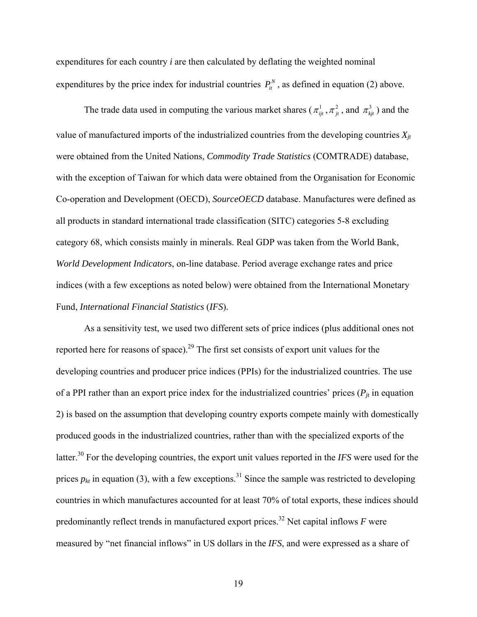expenditures for each country *i* are then calculated by deflating the weighted nominal expenditures by the price index for industrial countries  $P_i^N$ , as defined in equation (2) above.

The trade data used in computing the various market shares ( $\pi_{ijt}^1$ ,  $\pi_{ji}^2$ , and  $\pi_{kjt}^3$ ) and the value of manufactured imports of the industrialized countries from the developing countries  $X_{it}$ were obtained from the United Nations, *Commodity Trade Statistics* (COMTRADE) database, with the exception of Taiwan for which data were obtained from the Organisation for Economic Co-operation and Development (OECD), *SourceOECD* database. Manufactures were defined as all products in standard international trade classification (SITC) categories 5-8 excluding category 68, which consists mainly in minerals. Real GDP was taken from the World Bank, *World Development Indicators*, on-line database. Period average exchange rates and price indices (with a few exceptions as noted below) were obtained from the International Monetary Fund, *International Financial Statistics* (*IFS*).

As a sensitivity test, we used two different sets of price indices (plus additional ones not reported here for reasons of space).<sup>29</sup> The first set consists of export unit values for the developing countries and producer price indices (PPIs) for the industrialized countries. The use of a PPI rather than an export price index for the industrialized countries' prices  $(P_{it}$  in equation 2) is based on the assumption that developing country exports compete mainly with domestically produced goods in the industrialized countries, rather than with the specialized exports of the latter.[30](#page-36-29) For the developing countries, the export unit values reported in the *IFS* were used for the prices  $p_{kt}$  in equation (3), with a few exceptions.<sup>31</sup> Since the sample was restricted to developing countries in which manufactures accounted for at least 70% of total exports, these indices should predominantly reflect trends in manufactured export prices.<sup>32</sup> Net capital inflows  $F$  were measured by "net financial inflows" in US dollars in the *IFS*, and were expressed as a share of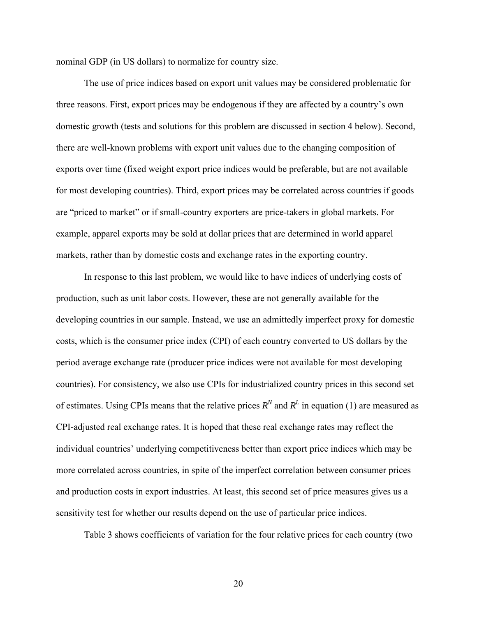nominal GDP (in US dollars) to normalize for country size.

The use of price indices based on export unit values may be considered problematic for three reasons. First, export prices may be endogenous if they are affected by a country's own domestic growth (tests and solutions for this problem are discussed in section 4 below). Second, there are well-known problems with export unit values due to the changing composition of exports over time (fixed weight export price indices would be preferable, but are not available for most developing countries). Third, export prices may be correlated across countries if goods are "priced to market" or if small-country exporters are price-takers in global markets. For example, apparel exports may be sold at dollar prices that are determined in world apparel markets, rather than by domestic costs and exchange rates in the exporting country.

In response to this last problem, we would like to have indices of underlying costs of production, such as unit labor costs. However, these are not generally available for the developing countries in our sample. Instead, we use an admittedly imperfect proxy for domestic costs, which is the consumer price index (CPI) of each country converted to US dollars by the period average exchange rate (producer price indices were not available for most developing countries). For consistency, we also use CPIs for industrialized country prices in this second set of estimates. Using CPIs means that the relative prices  $R^N$  and  $R^L$  in equation (1) are measured as CPI-adjusted real exchange rates. It is hoped that these real exchange rates may reflect the individual countries' underlying competitiveness better than export price indices which may be more correlated across countries, in spite of the imperfect correlation between consumer prices and production costs in export industries. At least, this second set of price measures gives us a sensitivity test for whether our results depend on the use of particular price indices.

Table 3 shows coefficients of variation for the four relative prices for each country (two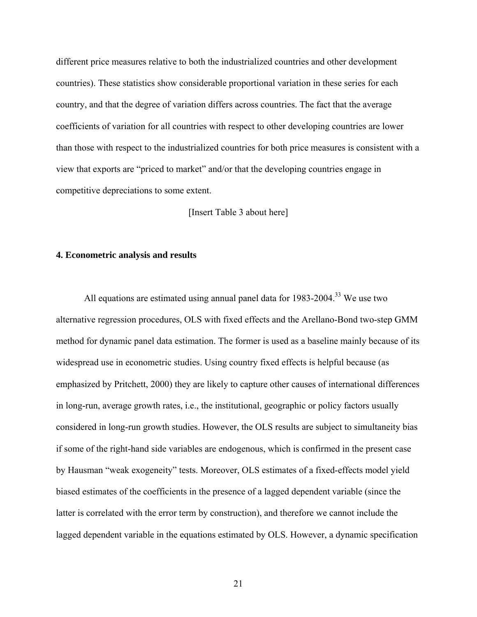different price measures relative to both the industrialized countries and other development countries). These statistics show considerable proportional variation in these series for each country, and that the degree of variation differs across countries. The fact that the average coefficients of variation for all countries with respect to other developing countries are lower than those with respect to the industrialized countries for both price measures is consistent with a view that exports are "priced to market" and/or that the developing countries engage in competitive depreciations to some extent.

[Insert Table 3 about here]

#### **4. Econometric analysis and results**

All equations are estimated using annual panel data for  $1983-2004$ <sup>33</sup> We use two alternative regression procedures, OLS with fixed effects and the Arellano-Bond two-step GMM method for dynamic panel data estimation. The former is used as a baseline mainly because of its widespread use in econometric studies. Using country fixed effects is helpful because (as emphasized by Pritchett, 2000) they are likely to capture other causes of international differences in long-run, average growth rates, i.e., the institutional, geographic or policy factors usually considered in long-run growth studies. However, the OLS results are subject to simultaneity bias if some of the right-hand side variables are endogenous, which is confirmed in the present case by Hausman "weak exogeneity" tests. Moreover, OLS estimates of a fixed-effects model yield biased estimates of the coefficients in the presence of a lagged dependent variable (since the latter is correlated with the error term by construction), and therefore we cannot include the lagged dependent variable in the equations estimated by OLS. However, a dynamic specification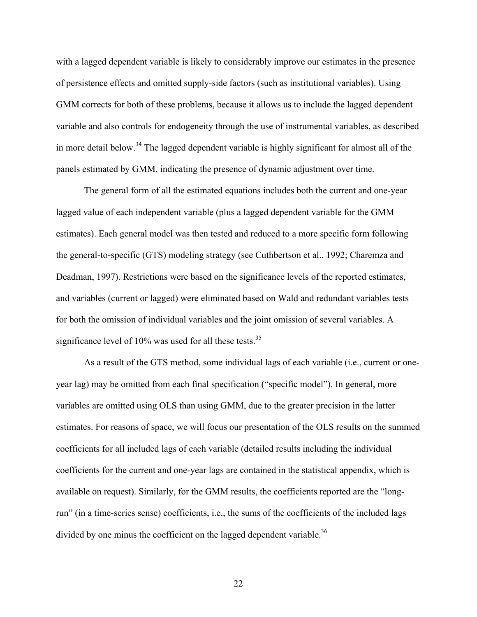with a lagged dependent variable is likely to considerably improve our estimates in the presence of persistence effects and omitted supply-side factors (such as institutional variables). Using GMM corrects for both of these problems, because it allows us to include the lagged dependent variable and also controls for endogeneity through the use of instrumental variables, as described in more detail below.<sup>34</sup> The lagged dependent variable is highly significant for almost all of the panels estimated by GMM, indicating the presence of dynamic adjustment over time.

The general form of all the estimated equations includes both the current and one-year lagged value of each independent variable (plus a lagged dependent variable for the GMM estimates). Each general model was then tested and reduced to a more specific form following the general-to-specific (GTS) modeling strategy (see Cuthbertson et al., 1992; Charemza and Deadman, 1997). Restrictions were based on the significance levels of the reported estimates, and variables (current or lagged) were eliminated based on Wald and redundant variables tests for both the omission of individual variables and the joint omission of several variables. A significance level of  $10\%$  was used for all these tests.<sup>35</sup>

As a result of the GTS method, some individual lags of each variable (i.e., current or oneyear lag) may be omitted from each final specification ("specific model"). In general, more variables are omitted using OLS than using GMM, due to the greater precision in the latter estimates. For reasons of space, we will focus our presentation of the OLS results on the summed coefficients for all included lags of each variable (detailed results including the individual coefficients for the current and one-year lags are contained in the statistical appendix, which is available on request). Similarly, for the GMM results, the coefficients reported are the "longrun" (in a time-series sense) coefficients, i.e., the sums of the coefficients of the included lags divided by one minus the coefficient on the lagged dependent variable.<sup>36</sup>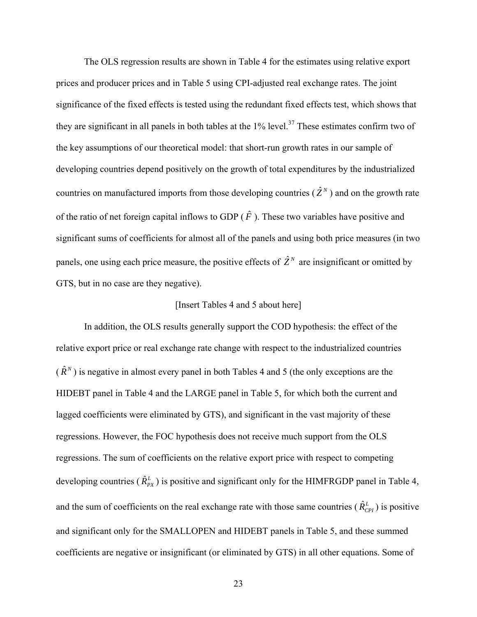The OLS regression results are shown in Table 4 for the estimates using relative export prices and producer prices and in Table 5 using CPI-adjusted real exchange rates. The joint significance of the fixed effects is tested using the redundant fixed effects test, which shows that they are significant in all panels in both tables at the  $1\%$  level.<sup>37</sup> These estimates confirm two of the key assumptions of our theoretical model: that short-run growth rates in our sample of developing countries depend positively on the growth of total expenditures by the industrialized countries on manufactured imports from those developing countries  $(\hat{Z}^N)$  and on the growth rate of the ratio of net foreign capital inflows to GDP  $(\hat{F})$ . These two variables have positive and significant sums of coefficients for almost all of the panels and using both price measures (in two panels, one using each price measure, the positive effects of  $\hat{Z}^N$  are insignificant or omitted by GTS, but in no case are they negative).

### [Insert Tables 4 and 5 about here]

In addition, the OLS results generally support the COD hypothesis: the effect of the relative export price or real exchange rate change with respect to the industrialized countries  $(\hat{R}^N)$  is negative in almost every panel in both Tables 4 and 5 (the only exceptions are the HIDEBT panel in Table 4 and the LARGE panel in Table 5, for which both the current and lagged coefficients were eliminated by GTS), and significant in the vast majority of these regressions. However, the FOC hypothesis does not receive much support from the OLS regressions. The sum of coefficients on the relative export price with respect to competing developing countries ( $\hat{R}_{PX}^L$ ) is positive and significant only for the HIMFRGDP panel in Table 4, and the sum of coefficients on the real exchange rate with those same countries  $(\hat{R}_{CPI}^L)$  is positive and significant only for the SMALLOPEN and HIDEBT panels in Table 5, and these summed coefficients are negative or insignificant (or eliminated by GTS) in all other equations. Some of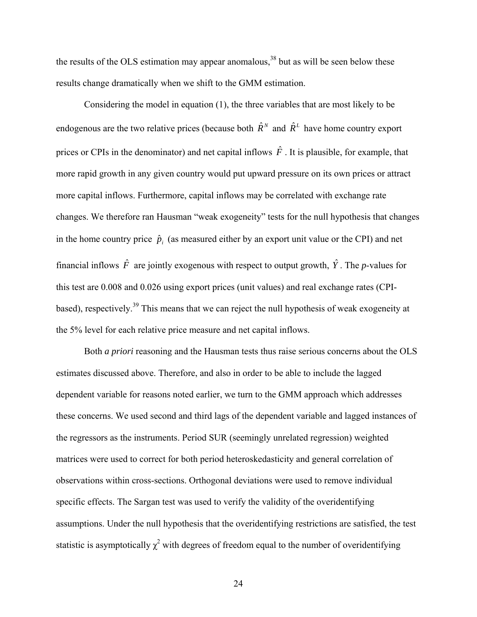the results of the OLS estimation may appear anomalous, $38$  but as will be seen below these results change dramatically when we shift to the GMM estimation.

Considering the model in equation (1), the three variables that are most likely to be endogenous are the two relative prices (because both  $\hat{R}^N$  and  $\hat{R}^L$  have home country export prices or CPIs in the denominator) and net capital inflows  $\hat{F}$ . It is plausible, for example, that more rapid growth in any given country would put upward pressure on its own prices or attract more capital inflows. Furthermore, capital inflows may be correlated with exchange rate changes. We therefore ran Hausman "weak exogeneity" tests for the null hypothesis that changes in the home country price  $\hat{p}_i$  (as measured either by an export unit value or the CPI) and net financial inflows  $\hat{F}$  are jointly exogenous with respect to output growth,  $\hat{Y}$ . The *p*-values for this test are 0.008 and 0.026 using export prices (unit values) and real exchange rates (CPIbased), respectively.<sup>39</sup> This means that we can reject the null hypothesis of weak exogeneity at the 5% level for each relative price measure and net capital inflows.

 Both *a priori* reasoning and the Hausman tests thus raise serious concerns about the OLS estimates discussed above. Therefore, and also in order to be able to include the lagged dependent variable for reasons noted earlier, we turn to the GMM approach which addresses these concerns. We used second and third lags of the dependent variable and lagged instances of the regressors as the instruments. Period SUR (seemingly unrelated regression) weighted matrices were used to correct for both period heteroskedasticity and general correlation of observations within cross-sections. Orthogonal deviations were used to remove individual specific effects. The Sargan test was used to verify the validity of the overidentifying assumptions. Under the null hypothesis that the overidentifying restrictions are satisfied, the test statistic is asymptotically  $\chi^2$  with degrees of freedom equal to the number of overidentifying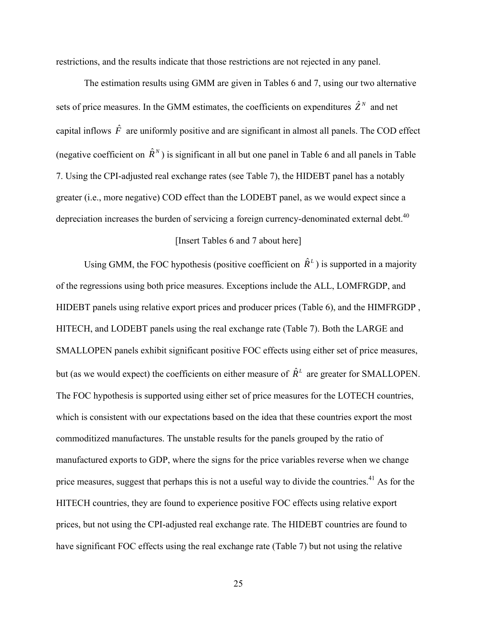restrictions, and the results indicate that those restrictions are not rejected in any panel.

The estimation results using GMM are given in Tables 6 and 7, using our two alternative sets of price measures. In the GMM estimates, the coefficients on expenditures  $\hat{Z}^N$  and net capital inflows  $\hat{F}$  are uniformly positive and are significant in almost all panels. The COD effect (negative coefficient on  $\hat{R}^N$ ) is significant in all but one panel in Table 6 and all panels in Table 7. Using the CPI-adjusted real exchange rates (see Table 7), the HIDEBT panel has a notably greater (i.e., more negative) COD effect than the LODEBT panel, as we would expect since a depreciation increases the burden of servicing a foreign currency-denominated external debt.<sup>40</sup>

#### [Insert Tables 6 and 7 about here]

Using GMM, the FOC hypothesis (positive coefficient on  $\hat{R}^L$ ) is supported in a majority of the regressions using both price measures. Exceptions include the ALL, LOMFRGDP, and HIDEBT panels using relative export prices and producer prices (Table 6), and the HIMFRGDP , HITECH, and LODEBT panels using the real exchange rate (Table 7). Both the LARGE and SMALLOPEN panels exhibit significant positive FOC effects using either set of price measures, but (as we would expect) the coefficients on either measure of  $\hat{R}^L$  are greater for SMALLOPEN. The FOC hypothesis is supported using either set of price measures for the LOTECH countries, which is consistent with our expectations based on the idea that these countries export the most commoditized manufactures. The unstable results for the panels grouped by the ratio of manufactured exports to GDP, where the signs for the price variables reverse when we change price measures, suggest that perhaps this is not a useful way to divide the countries.<sup>41</sup> As for the HITECH countries, they are found to experience positive FOC effects using relative export prices, but not using the CPI-adjusted real exchange rate. The HIDEBT countries are found to have significant FOC effects using the real exchange rate (Table 7) but not using the relative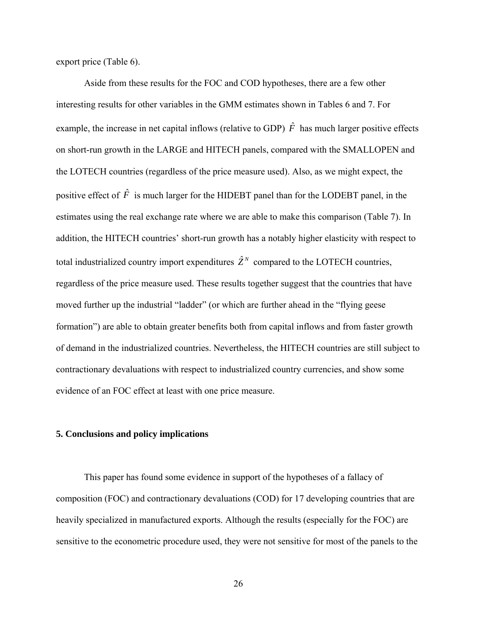export price (Table 6).

Aside from these results for the FOC and COD hypotheses, there are a few other interesting results for other variables in the GMM estimates shown in Tables 6 and 7. For example, the increase in net capital inflows (relative to GDP)  $\hat{F}$  has much larger positive effects on short-run growth in the LARGE and HITECH panels, compared with the SMALLOPEN and the LOTECH countries (regardless of the price measure used). Also, as we might expect, the positive effect of  $\hat{F}$  is much larger for the HIDEBT panel than for the LODEBT panel, in the estimates using the real exchange rate where we are able to make this comparison (Table 7). In addition, the HITECH countries' short-run growth has a notably higher elasticity with respect to total industrialized country import expenditures  $\hat{Z}^N$  compared to the LOTECH countries, regardless of the price measure used. These results together suggest that the countries that have moved further up the industrial "ladder" (or which are further ahead in the "flying geese formation") are able to obtain greater benefits both from capital inflows and from faster growth of demand in the industrialized countries. Nevertheless, the HITECH countries are still subject to contractionary devaluations with respect to industrialized country currencies, and show some evidence of an FOC effect at least with one price measure.

#### **5. Conclusions and policy implications**

This paper has found some evidence in support of the hypotheses of a fallacy of composition (FOC) and contractionary devaluations (COD) for 17 developing countries that are heavily specialized in manufactured exports. Although the results (especially for the FOC) are sensitive to the econometric procedure used, they were not sensitive for most of the panels to the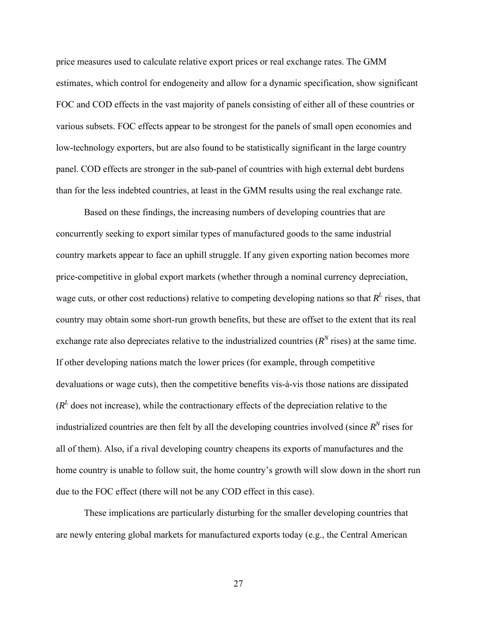price measures used to calculate relative export prices or real exchange rates. The GMM estimates, which control for endogeneity and allow for a dynamic specification, show significant FOC and COD effects in the vast majority of panels consisting of either all of these countries or various subsets. FOC effects appear to be strongest for the panels of small open economies and low-technology exporters, but are also found to be statistically significant in the large country panel. COD effects are stronger in the sub-panel of countries with high external debt burdens than for the less indebted countries, at least in the GMM results using the real exchange rate.

Based on these findings, the increasing numbers of developing countries that are concurrently seeking to export similar types of manufactured goods to the same industrial country markets appear to face an uphill struggle. If any given exporting nation becomes more price-competitive in global export markets (whether through a nominal currency depreciation, wage cuts, or other cost reductions) relative to competing developing nations so that  $R<sup>L</sup>$  rises, that country may obtain some short-run growth benefits, but these are offset to the extent that its real exchange rate also depreciates relative to the industrialized countries  $(R^N \text{ rises})$  at the same time. If other developing nations match the lower prices (for example, through competitive devaluations or wage cuts), then the competitive benefits vis-à-vis those nations are dissipated  $(R<sup>L</sup>$  does not increase), while the contractionary effects of the depreciation relative to the industrialized countries are then felt by all the developing countries involved (since  $R<sup>N</sup>$  rises for all of them). Also, if a rival developing country cheapens its exports of manufactures and the home country is unable to follow suit, the home country's growth will slow down in the short run due to the FOC effect (there will not be any COD effect in this case).

These implications are particularly disturbing for the smaller developing countries that are newly entering global markets for manufactured exports today (e.g., the Central American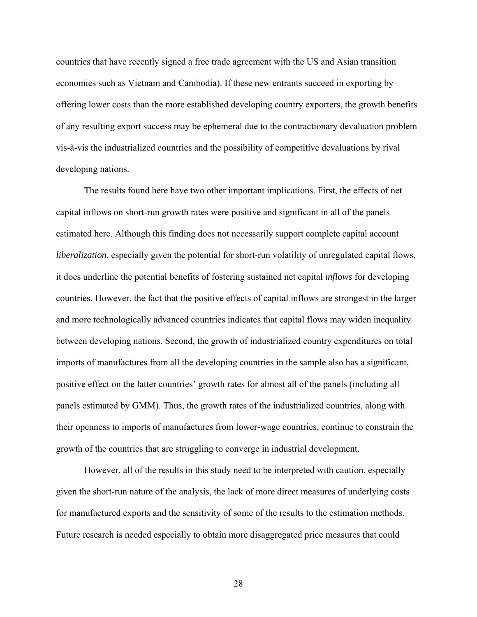countries that have recently signed a free trade agreement with the US and Asian transition economies such as Vietnam and Cambodia). If these new entrants succeed in exporting by offering lower costs than the more established developing country exporters, the growth benefits of any resulting export success may be ephemeral due to the contractionary devaluation problem vis-à-vis the industrialized countries and the possibility of competitive devaluations by rival developing nations.

The results found here have two other important implications. First, the effects of net capital inflows on short-run growth rates were positive and significant in all of the panels estimated here. Although this finding does not necessarily support complete capital account *liberalization*, especially given the potential for short-run volatility of unregulated capital flows, it does underline the potential benefits of fostering sustained net capital *inflows* for developing countries. However, the fact that the positive effects of capital inflows are strongest in the larger and more technologically advanced countries indicates that capital flows may widen inequality between developing nations. Second, the growth of industrialized country expenditures on total imports of manufactures from all the developing countries in the sample also has a significant, positive effect on the latter countries' growth rates for almost all of the panels (including all panels estimated by GMM). Thus, the growth rates of the industrialized countries, along with their openness to imports of manufactures from lower-wage countries, continue to constrain the growth of the countries that are struggling to converge in industrial development.

However, all of the results in this study need to be interpreted with caution, especially given the short-run nature of the analysis, the lack of more direct measures of underlying costs for manufactured exports and the sensitivity of some of the results to the estimation methods. Future research is needed especially to obtain more disaggregated price measures that could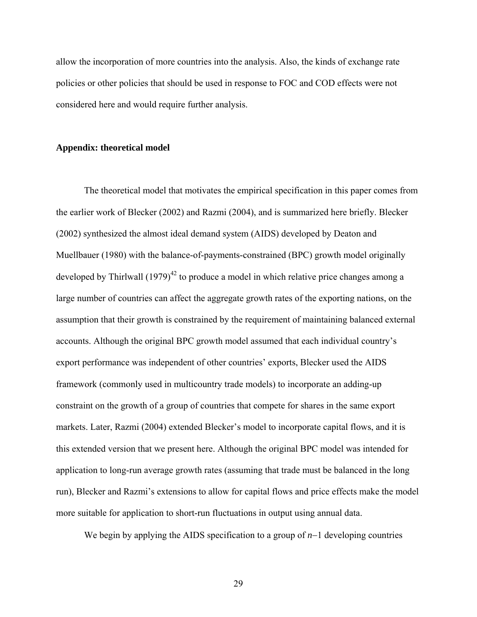allow the incorporation of more countries into the analysis. Also, the kinds of exchange rate policies or other policies that should be used in response to FOC and COD effects were not considered here and would require further analysis.

#### **Appendix: theoretical model**

The theoretical model that motivates the empirical specification in this paper comes from the earlier work of Blecker (2002) and Razmi (2004), and is summarized here briefly. Blecker (2002) synthesized the almost ideal demand system (AIDS) developed by Deaton and Muellbauer (1980) with the balance-of-payments-constrained (BPC) growth model originally developed by Thirlwall  $(1979)^{42}$  to produce a model in which relative price changes among a large number of countries can affect the aggregate growth rates of the exporting nations, on the assumption that their growth is constrained by the requirement of maintaining balanced external accounts. Although the original BPC growth model assumed that each individual country's export performance was independent of other countries' exports, Blecker used the AIDS framework (commonly used in multicountry trade models) to incorporate an adding-up constraint on the growth of a group of countries that compete for shares in the same export markets. Later, Razmi (2004) extended Blecker's model to incorporate capital flows, and it is this extended version that we present here. Although the original BPC model was intended for application to long-run average growth rates (assuming that trade must be balanced in the long run), Blecker and Razmi's extensions to allow for capital flows and price effects make the model more suitable for application to short-run fluctuations in output using annual data.

We begin by applying the AIDS specification to a group of *n*−1 developing countries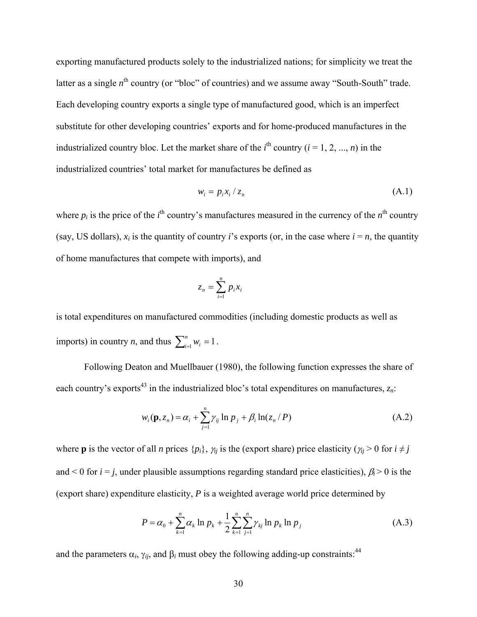exporting manufactured products solely to the industrialized nations; for simplicity we treat the latter as a single  $n^{\text{th}}$  country (or "bloc" of countries) and we assume away "South-South" trade. Each developing country exports a single type of manufactured good, which is an imperfect substitute for other developing countries' exports and for home-produced manufactures in the industrialized country bloc. Let the market share of the  $i^{\text{th}}$  country ( $i = 1, 2, ..., n$ ) in the industrialized countries' total market for manufactures be defined as

$$
w_i = p_i x_i / z_n \tag{A.1}
$$

where  $p_i$  is the price of the  $i^{\text{th}}$  country's manufactures measured in the currency of the  $n^{\text{th}}$  country (say, US dollars),  $x_i$  is the quantity of country *i*'s exports (or, in the case where  $i = n$ , the quantity of home manufactures that compete with imports), and

$$
z_n = \sum_{i=1}^n p_i x_i
$$

is total expenditures on manufactured commodities (including domestic products as well as imports) in country *n*, and thus  $\sum_{i=1}^{n} w_i = 1$ .

Following Deaton and Muellbauer (1980), the following function expresses the share of each country's exports<sup>43</sup> in the industrialized bloc's total expenditures on manufactures,  $z_n$ .

$$
w_i(\mathbf{p}, z_n) = \alpha_i + \sum_{j=1}^n \gamma_{ij} \ln p_j + \beta_i \ln(z_n / P)
$$
\n(A.2)

where **p** is the vector of all *n* prices  $\{p_i\}$ ,  $\gamma_{ij}$  is the (export share) price elasticity ( $\gamma_{ij} > 0$  for  $i \neq j$ and  $\leq 0$  for  $i = j$ , under plausible assumptions regarding standard price elasticities),  $\beta_i \geq 0$  is the (export share) expenditure elasticity, *P* is a weighted average world price determined by

$$
P = \alpha_0 + \sum_{k=1}^{n} \alpha_k \ln p_k + \frac{1}{2} \sum_{k=1}^{n} \sum_{j=1}^{n} \gamma_{kj} \ln p_k \ln p_j
$$
 (A.3)

and the parameters  $\alpha_i$ ,  $\gamma_{ij}$ , and  $\beta_i$  must obey the following adding-up constraints:<sup>[44](#page-36-40)</sup>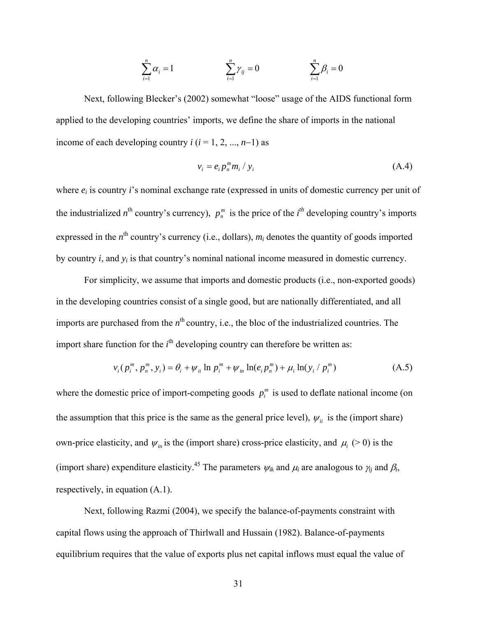$$
\sum_{i=1}^n \alpha_i = 1 \qquad \qquad \sum_{i=1}^n \gamma_{ij} = 0 \qquad \qquad \sum_{i=1}^n \beta_i = 0
$$

Next, following Blecker's (2002) somewhat "loose" usage of the AIDS functional form applied to the developing countries' imports, we define the share of imports in the national income of each developing country  $i$  ( $i = 1, 2, ..., n-1$ ) as

$$
v_i = e_i p_n^m m_i / y_i \tag{A.4}
$$

where  $e_i$  is country *i*'s nominal exchange rate (expressed in units of domestic currency per unit of the industrialized  $n^{\text{th}}$  country's currency),  $p_n^m$  is the price of the *i*<sup>th</sup> developing country's imports expressed in the  $n^{\text{th}}$  country's currency (i.e., dollars),  $m_i$  denotes the quantity of goods imported by country *i*, and *yi* is that country's nominal national income measured in domestic currency.

For simplicity, we assume that imports and domestic products (i.e., non-exported goods) in the developing countries consist of a single good, but are nationally differentiated, and all imports are purchased from the *n*<sup>th</sup> country, i.e., the bloc of the industrialized countries. The import share function for the  $i<sup>th</sup>$  developing country can therefore be written as:

$$
v_i(p_i^m, p_i^m, y_i) = \theta_i + \psi_{ii} \ln p_i^m + \psi_{in} \ln(e_i p_i^m) + \mu_i \ln(y_i / p_i^m)
$$
 (A.5)

where the domestic price of import-competing goods  $p_i^m$  is used to deflate national income (on the assumption that this price is the same as the general price level),  $\psi_{ii}$  is the (import share) own-price elasticity, and  $\psi_{in}$  is the (import share) cross-price elasticity, and  $\mu_i$  (> 0) is the (import share) expenditure elasticity.<sup>45</sup> The parameters  $\psi_{ik}$  and  $\mu_i$  are analogous to  $\gamma_i$  and  $\beta_i$ , respectively, in equation (A.1).

Next, following Razmi (2004), we specify the balance-of-payments constraint with capital flows using the approach of Thirlwall and Hussain (1982). Balance-of-payments equilibrium requires that the value of exports plus net capital inflows must equal the value of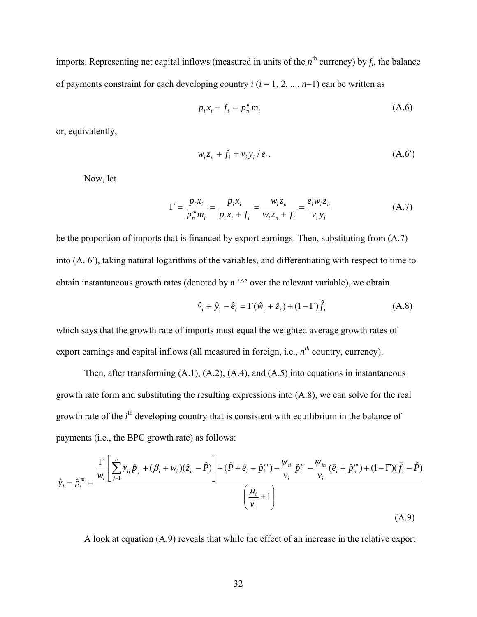imports. Representing net capital inflows (measured in units of the  $n^{\text{th}}$  currency) by  $f_i$ , the balance of payments constraint for each developing country *i* (*i* = 1, 2, ..., *n*−1) can be written as

$$
p_i x_i + f_i = p_n^m m_i \tag{A.6}
$$

or, equivalently,

$$
w_i z_n + f_i = v_i y_i / e_i.
$$
 (A.6')

Now, let

$$
\Gamma = \frac{p_i x_i}{p_n^m m_i} = \frac{p_i x_i}{p_i x_i + f_i} = \frac{w_i z_n}{w_i z_n + f_i} = \frac{e_i w_i z_n}{v_i y_i}
$$
(A.7)

be the proportion of imports that is financed by export earnings. Then, substituting from (A.7) into (A. 6′), taking natural logarithms of the variables, and differentiating with respect to time to obtain instantaneous growth rates (denoted by a `^' over the relevant variable), we obtain

$$
\hat{\mathbf{v}}_i + \hat{\mathbf{y}}_i - \hat{\mathbf{e}}_i = \Gamma(\hat{\mathbf{w}}_i + \hat{\mathbf{z}}_i) + (1 - \Gamma)\hat{f}_i
$$
\n(A.8)

which says that the growth rate of imports must equal the weighted average growth rates of export earnings and capital inflows (all measured in foreign, i.e.,  $n^{th}$  country, currency).

Then, after transforming  $(A,1)$ ,  $(A,2)$ ,  $(A,4)$ , and  $(A,5)$  into equations in instantaneous growth rate form and substituting the resulting expressions into (A.8), we can solve for the real growth rate of the *i*<sup>th</sup> developing country that is consistent with equilibrium in the balance of payments (i.e., the BPC growth rate) as follows:

$$
\hat{y}_{i} - \hat{p}_{i}^{m} = \frac{\frac{\Gamma}{w_{i}} \left[ \sum_{j=1}^{n} \gamma_{ij} \hat{p}_{j} + (\beta_{i} + w_{i})(\hat{z}_{n} - \hat{P}) \right] + (\hat{P} + \hat{e}_{i} - \hat{p}_{i}^{m}) - \frac{\psi_{ii}}{v_{i}} \hat{p}_{i}^{m} - \frac{\psi_{in}}{v_{i}} (\hat{e}_{i} + \hat{p}_{n}^{m}) + (1 - \Gamma)(\hat{f}_{i} - \hat{P})}{\left(\frac{\mu_{i}}{v_{i}} + 1\right)}
$$
\n(A.9)

A look at equation (A.9) reveals that while the effect of an increase in the relative export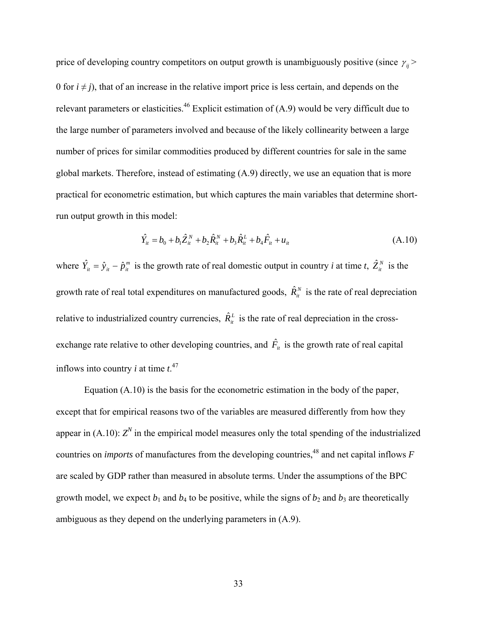price of developing country competitors on output growth is unambiguously positive (since  $\gamma_{ii}$  > 0 for  $i \neq j$ ), that of an increase in the relative import price is less certain, and depends on the relevant parameters or elasticities.<sup>46</sup> Explicit estimation of  $(A.9)$  would be very difficult due to the large number of parameters involved and because of the likely collinearity between a large number of prices for similar commodities produced by different countries for sale in the same global markets. Therefore, instead of estimating (A.9) directly, we use an equation that is more practical for econometric estimation, but which captures the main variables that determine shortrun output growth in this model:

$$
\hat{Y}_{it} = b_0 + b_1 \hat{Z}_{it}^N + b_2 \hat{R}_{it}^N + b_3 \hat{R}_{it}^L + b_4 \hat{F}_{it} + u_{it}
$$
\n(A.10)

where  $\hat{Y}_i = \hat{y}_i - \hat{p}_i^m$  is the growth rate of real domestic output in country *i* at time *t*,  $\hat{Z}_i^N$  is the growth rate of real total expenditures on manufactured goods,  $\hat{R}_{it}^{N}$  is the rate of real depreciation relative to industrialized country currencies,  $\hat{R}_{it}^L$  is the rate of real depreciation in the crossexchange rate relative to other developing countries, and  $\hat{F}_n$  is the growth rate of real capital inflows into country *i* at time  $t^{47}$ .

Equation (A.10) is the basis for the econometric estimation in the body of the paper, except that for empirical reasons two of the variables are measured differently from how they appear in  $(A.10)$ :  $Z<sup>N</sup>$  in the empirical model measures only the total spending of the industrialized countries on *imports* of manufactures from the developing countries,<sup>48</sup> and net capital inflows *F* are scaled by GDP rather than measured in absolute terms. Under the assumptions of the BPC growth model, we expect  $b_1$  and  $b_4$  to be positive, while the signs of  $b_2$  and  $b_3$  are theoretically ambiguous as they depend on the underlying parameters in (A.9).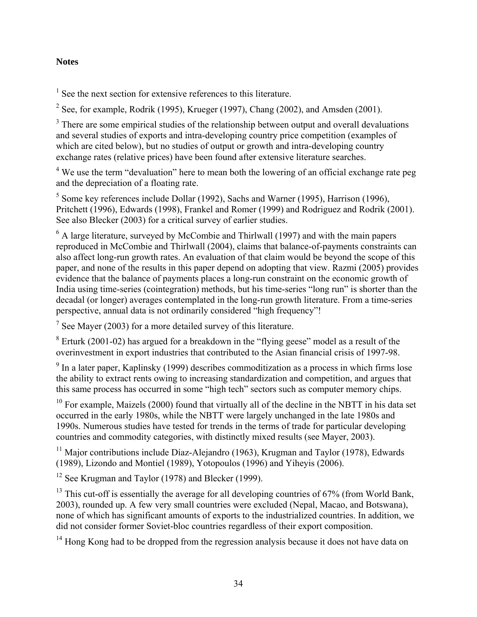### <span id="page-36-35"></span>**Notes**

<span id="page-36-14"></span><span id="page-36-0"></span><sup>1</sup> See the next section for extensive references to this literature.

<span id="page-36-1"></span><sup>2</sup> See, for example, Rodrik (1995), Krueger (1997), Chang (2002), and Amsden (2001).

<span id="page-36-36"></span><span id="page-36-29"></span><span id="page-36-2"></span> $3$  There are some empirical studies of the relationship between output and overall devaluations and several studies of exports and intra-developing country price competition (examples of which are cited below), but no studies of output or growth and intra-developing country exchange rates (relative prices) have been found after extensive literature searches.

<span id="page-36-30"></span><span id="page-36-16"></span><span id="page-36-15"></span><span id="page-36-3"></span> $4$  We use the term "devaluation" here to mean both the lowering of an official exchange rate peg and the depreciation of a floating rate.

<span id="page-36-37"></span><span id="page-36-4"></span> $<sup>5</sup>$  Some key references include Dollar (1992), Sachs and Warner (1995), Harrison (1996),</sup> Pritchett (1996), Edwards (1998), Frankel and Romer (1999) and Rodriguez and Rodrik (2001). See also Blecker (2003) for a critical survey of earlier studies.

<span id="page-36-39"></span><span id="page-36-38"></span><span id="page-36-21"></span><span id="page-36-17"></span><span id="page-36-5"></span><sup>6</sup> A large literature, surveyed by McCombie and Thirlwall (1997) and with the main papers reproduced in McCombie and Thirlwall (2004), claims that balance-of-payments constraints can also affect long-run growth rates. An evaluation of that claim would be beyond the scope of this paper, and none of the results in this paper depend on adopting that view. Razmi (2005) provides evidence that the balance of payments places a long-run constraint on the economic growth of India using time-series (cointegration) methods, but his time-series "long run" is shorter than the decadal (or longer) averages contemplated in the long-run growth literature. From a time-series perspective, annual data is not ordinarily considered "high frequency"!

<span id="page-36-41"></span><span id="page-36-40"></span><span id="page-36-31"></span><span id="page-36-23"></span><span id="page-36-22"></span><span id="page-36-6"></span><sup>7</sup> See Mayer (2003) for a more detailed survey of this literature.

<span id="page-36-25"></span><span id="page-36-24"></span><span id="page-36-7"></span> $8$  Erturk (2001-02) has argued for a breakdown in the "flying geese" model as a result of the overinvestment in export industries that contributed to the Asian financial crisis of 1997-98.

<span id="page-36-18"></span><span id="page-36-8"></span><sup>9</sup> In a later paper, Kaplinsky (1999) describes commoditization as a process in which firms lose the ability to extract rents owing to increasing standardization and competition, and argues that this same process has occurred in some "high tech" sectors such as computer memory chips.

<span id="page-36-42"></span><span id="page-36-33"></span><span id="page-36-32"></span><span id="page-36-26"></span><span id="page-36-9"></span> $10$  For example, Maizels (2000) found that virtually all of the decline in the NBTT in his data set occurred in the early 1980s, while the NBTT were largely unchanged in the late 1980s and 1990s. Numerous studies have tested for trends in the terms of trade for particular developing countries and commodity categories, with distinctly mixed results (see Mayer, 2003).

<span id="page-36-43"></span><span id="page-36-10"></span><sup>11</sup> Major contributions include Díaz-Alejandro (1963), Krugman and Taylor (1978), Edwards (1989), Lizondo and Montiel (1989), Yotopoulos (1996) and Yiheyis (2006).

<span id="page-36-27"></span><span id="page-36-19"></span><span id="page-36-11"></span><sup>12</sup> See Krugman and Taylor (1978) and Blecker (1999).

<span id="page-36-44"></span><span id="page-36-34"></span><span id="page-36-12"></span> $13$  This cut-off is essentially the average for all developing countries of 67% (from World Bank, 2003), rounded up. A few very small countries were excluded (Nepal, Macao, and Botswana), none of which has significant amounts of exports to the industrialized countries. In addition, we did not consider former Soviet-bloc countries regardless of their export composition.

<span id="page-36-28"></span><span id="page-36-20"></span><span id="page-36-13"></span><sup>14</sup> Hong Kong had to be dropped from the regression analysis because it does not have data on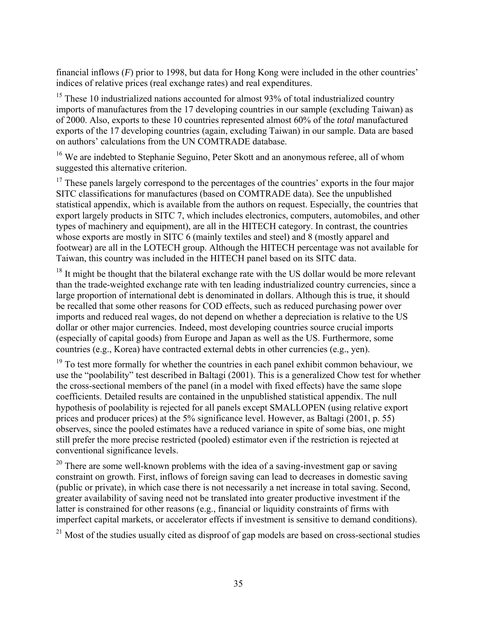financial inflows (*F*) prior to 1998, but data for Hong Kong were included in the other countries' indices of relative prices (real exchange rates) and real expenditures.

 $15$  These 10 industrialized nations accounted for almost 93% of total industrialized country imports of manufactures from the 17 developing countries in our sample (excluding Taiwan) as of 2000. Also, exports to these 10 countries represented almost 60% of the *total* manufactured exports of the 17 developing countries (again, excluding Taiwan) in our sample. Data are based on authors' calculations from the UN COMTRADE database.

<sup>16</sup> We are indebted to Stephanie Seguino, Peter Skott and an anonymous referee, all of whom suggested this alternative criterion.

 $17$  These panels largely correspond to the percentages of the countries' exports in the four major SITC classifications for manufactures (based on COMTRADE data). See the unpublished statistical appendix, which is available from the authors on request. Especially, the countries that export largely products in SITC 7, which includes electronics, computers, automobiles, and other types of machinery and equipment), are all in the HITECH category. In contrast, the countries whose exports are mostly in SITC 6 (mainly textiles and steel) and 8 (mostly apparel and footwear) are all in the LOTECH group. Although the HITECH percentage was not available for Taiwan, this country was included in the HITECH panel based on its SITC data.

 $18$  It might be thought that the bilateral exchange rate with the US dollar would be more relevant than the trade-weighted exchange rate with ten leading industrialized country currencies, since a large proportion of international debt is denominated in dollars. Although this is true, it should be recalled that some other reasons for COD effects, such as reduced purchasing power over imports and reduced real wages, do not depend on whether a depreciation is relative to the US dollar or other major currencies. Indeed, most developing countries source crucial imports (especially of capital goods) from Europe and Japan as well as the US. Furthermore, some countries (e.g., Korea) have contracted external debts in other currencies (e.g., yen).

<sup>19</sup> To test more formally for whether the countries in each panel exhibit common behaviour, we use the "poolability" test described in Baltagi (2001). This is a generalized Chow test for whether the cross-sectional members of the panel (in a model with fixed effects) have the same slope coefficients. Detailed results are contained in the unpublished statistical appendix. The null hypothesis of poolability is rejected for all panels except SMALLOPEN (using relative export prices and producer prices) at the 5% significance level. However, as Baltagi (2001, p. 55) observes, since the pooled estimates have a reduced variance in spite of some bias, one might still prefer the more precise restricted (pooled) estimator even if the restriction is rejected at conventional significance levels.

<sup>20</sup> There are some well-known problems with the idea of a saving-investment gap or saving constraint on growth. First, inflows of foreign saving can lead to decreases in domestic saving (public or private), in which case there is not necessarily a net increase in total saving. Second, greater availability of saving need not be translated into greater productive investment if the latter is constrained for other reasons (e.g., financial or liquidity constraints of firms with imperfect capital markets, or accelerator effects if investment is sensitive to demand conditions).

 $21$  Most of the studies usually cited as disproof of gap models are based on cross-sectional studies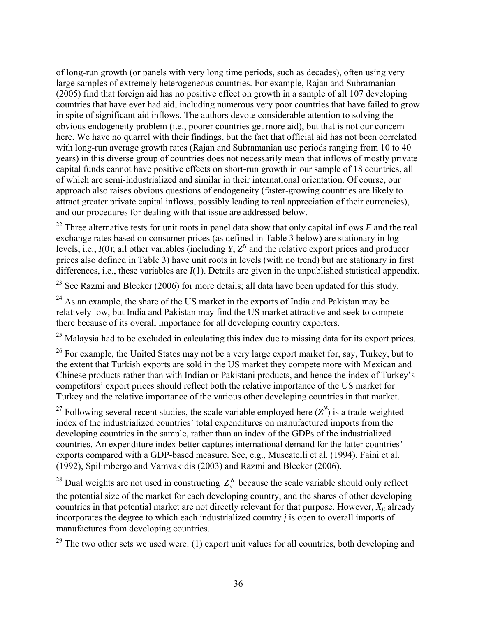of long-run growth (or panels with very long time periods, such as decades), often using very large samples of extremely heterogeneous countries. For example, Rajan and Subramanian (2005) find that foreign aid has no positive effect on growth in a sample of all 107 developing countries that have ever had aid, including numerous very poor countries that have failed to grow in spite of significant aid inflows. The authors devote considerable attention to solving the obvious endogeneity problem (i.e., poorer countries get more aid), but that is not our concern here. We have no quarrel with their findings, but the fact that official aid has not been correlated with long-run average growth rates (Rajan and Subramanian use periods ranging from 10 to 40 years) in this diverse group of countries does not necessarily mean that inflows of mostly private capital funds cannot have positive effects on short-run growth in our sample of 18 countries, all of which are semi-industrialized and similar in their international orientation. Of course, our approach also raises obvious questions of endogeneity (faster-growing countries are likely to attract greater private capital inflows, possibly leading to real appreciation of their currencies), and our procedures for dealing with that issue are addressed below.

22 Three alternative tests for unit roots in panel data show that only capital inflows *F* and the real exchange rates based on consumer prices (as defined in Table 3 below) are stationary in log levels, i.e.,  $I(0)$ ; all other variables (including *Y*,  $Z<sup>N</sup>$  and the relative export prices and producer prices also defined in Table 3) have unit roots in levels (with no trend) but are stationary in first differences, i.e., these variables are *I*(1). Details are given in the unpublished statistical appendix.

<sup>23</sup> See Razmi and Blecker (2006) for more details; all data have been updated for this study.

 $^{24}$  As an example, the share of the US market in the exports of India and Pakistan may be relatively low, but India and Pakistan may find the US market attractive and seek to compete there because of its overall importance for all developing country exporters.

<sup>25</sup> Malaysia had to be excluded in calculating this index due to missing data for its export prices.

<sup>26</sup> For example, the United States may not be a very large export market for, say, Turkey, but to the extent that Turkish exports are sold in the US market they compete more with Mexican and Chinese products rather than with Indian or Pakistani products, and hence the index of Turkey's competitors' export prices should reflect both the relative importance of the US market for Turkey and the relative importance of the various other developing countries in that market.

<sup>27</sup> Following several recent studies, the scale variable employed here  $(Z^N)$  is a trade-weighted index of the industrialized countries' total expenditures on manufactured imports from the developing countries in the sample, rather than an index of the GDPs of the industrialized countries. An expenditure index better captures international demand for the latter countries' exports compared with a GDP-based measure. See, e.g., Muscatelli et al. (1994), Faini et al. (1992), Spilimbergo and Vamvakidis (2003) and Razmi and Blecker (2006).

<sup>28</sup> Dual weights are not used in constructing  $Z_i^N$  because the scale variable should only reflect the potential size of the market for each developing country, and the shares of other developing countries in that potential market are not directly relevant for that purpose. However,  $X_{it}$  already incorporates the degree to which each industrialized country *j* is open to overall imports of manufactures from developing countries.

 $29$  The two other sets we used were: (1) export unit values for all countries, both developing and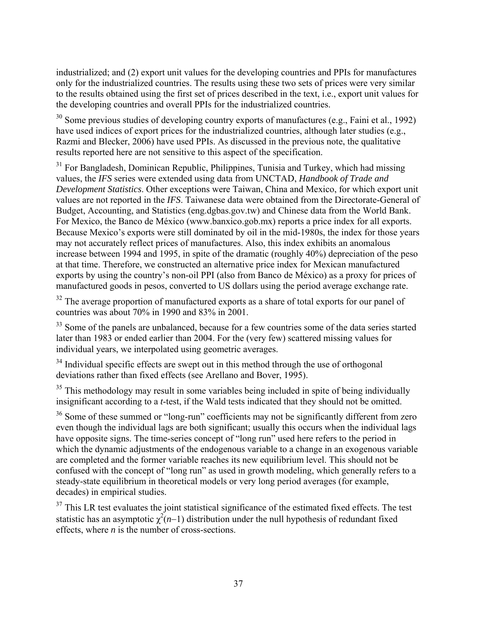industrialized; and (2) export unit values for the developing countries and PPIs for manufactures only for the industrialized countries. The results using these two sets of prices were very similar to the results obtained using the first set of prices described in the text, i.e., export unit values for the developing countries and overall PPIs for the industrialized countries.

<sup>30</sup> Some previous studies of developing country exports of manufactures (e.g., Faini et al., 1992) have used indices of export prices for the industrialized countries, although later studies (e.g., Razmi and Blecker, 2006) have used PPIs. As discussed in the previous note, the qualitative results reported here are not sensitive to this aspect of the specification.

 $31$  For Bangladesh, Dominican Republic, Philippines, Tunisia and Turkey, which had missing values, the *IFS* series were extended using data from UNCTAD, *Handbook of Trade and Development Statistics*. Other exceptions were Taiwan, China and Mexico, for which export unit values are not reported in the *IFS*. Taiwanese data were obtained from the Directorate-General of Budget, Accounting, and Statistics (eng.dgbas.gov.tw) and Chinese data from the World Bank. For Mexico, the Banco de México (www.banxico.gob.mx) reports a price index for all exports. Because Mexico's exports were still dominated by oil in the mid-1980s, the index for those years may not accurately reflect prices of manufactures. Also, this index exhibits an anomalous increase between 1994 and 1995, in spite of the dramatic (roughly 40%) depreciation of the peso at that time. Therefore, we constructed an alternative price index for Mexican manufactured exports by using the country's non-oil PPI (also from Banco de México) as a proxy for prices of manufactured goods in pesos, converted to US dollars using the period average exchange rate.

<sup>32</sup> The average proportion of manufactured exports as a share of total exports for our panel of countries was about 70% in 1990 and 83% in 2001.

<sup>33</sup> Some of the panels are unbalanced, because for a few countries some of the data series started later than 1983 or ended earlier than 2004. For the (very few) scattered missing values for individual years, we interpolated using geometric averages.

<sup>34</sup> Individual specific effects are swept out in this method through the use of orthogonal deviations rather than fixed effects (see Arellano and Bover, 1995).

 $35$  This methodology may result in some variables being included in spite of being individually insignificant according to a *t*-test, if the Wald tests indicated that they should not be omitted.

<sup>36</sup> Some of these summed or "long-run" coefficients may not be significantly different from zero even though the individual lags are both significant; usually this occurs when the individual lags have opposite signs. The time-series concept of "long run" used here refers to the period in which the dynamic adjustments of the endogenous variable to a change in an exogenous variable are completed and the former variable reaches its new equilibrium level. This should not be confused with the concept of "long run" as used in growth modeling, which generally refers to a steady-state equilibrium in theoretical models or very long period averages (for example, decades) in empirical studies.

 $37$  This LR test evaluates the joint statistical significance of the estimated fixed effects. The test statistic has an asymptotic  $\chi^2(n-1)$  distribution under the null hypothesis of redundant fixed effects, where *n* is the number of cross-sections.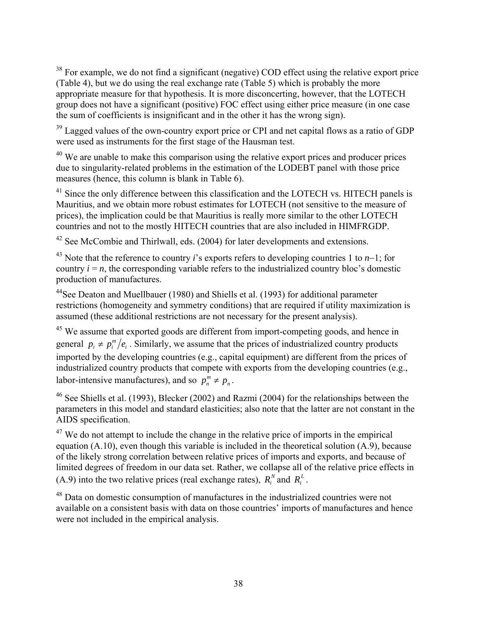<sup>38</sup> For example, we do not find a significant (negative) COD effect using the relative export price (Table 4), but we do using the real exchange rate (Table 5) which is probably the more appropriate measure for that hypothesis. It is more disconcerting, however, that the LOTECH group does not have a significant (positive) FOC effect using either price measure (in one case the sum of coefficients is insignificant and in the other it has the wrong sign).

<sup>39</sup> Lagged values of the own-country export price or CPI and net capital flows as a ratio of GDP were used as instruments for the first stage of the Hausman test.

 $40$  We are unable to make this comparison using the relative export prices and producer prices due to singularity-related problems in the estimation of the LODEBT panel with those price measures (hence, this column is blank in Table 6).

<sup>41</sup> Since the only difference between this classification and the LOTECH vs. HITECH panels is Mauritius, and we obtain more robust estimates for LOTECH (not sensitive to the measure of prices), the implication could be that Mauritius is really more similar to the other LOTECH countries and not to the mostly HITECH countries that are also included in HIMFRGDP.

 $42$  See McCombie and Thirlwall, eds. (2004) for later developments and extensions.

43 Note that the reference to country *i*'s exports refers to developing countries 1 to *n*−1; for country  $i = n$ , the corresponding variable refers to the industrialized country bloc's domestic production of manufactures.

44See Deaton and Muellbauer (1980) and Shiells et al. (1993) for additional parameter restrictions (homogeneity and symmetry conditions) that are required if utility maximization is assumed (these additional restrictions are not necessary for the present analysis).

<sup>45</sup> We assume that exported goods are different from import-competing goods, and hence in general  $p_i \neq p_i^m/e_i$ . Similarly, we assume that the prices of industrialized country products labor-intensive manufactures), and so  $p_n^m \neq p_n$ . imported by the developing countries (e.g., capital equipment) are different from the prices of industrialized country products that compete with exports from the developing countries (e.g.,

<sup>46</sup> See Shiells et al. (1993), Blecker (2002) and Razmi (2004) for the relationships between the parameters in this model and standard elasticities; also note that the latter are not constant in the AIDS specification.

 $(A.9)$  into the two relative prices (real exchange rates),  $R_i^N$  and  $R_i^L$ .  $47$  We do not attempt to include the change in the relative price of imports in the empirical equation (A.10), even though this variable is included in the theoretical solution (A.9), because of the likely strong correlation between relative prices of imports and exports, and because of limited degrees of freedom in our data set. Rather, we collapse all of the relative price effects in

48 Data on domestic consumption of manufactures in the industrialized countries were not available on a consistent basis with data on those countries' imports of manufactures and hence were not included in the empirical analysis.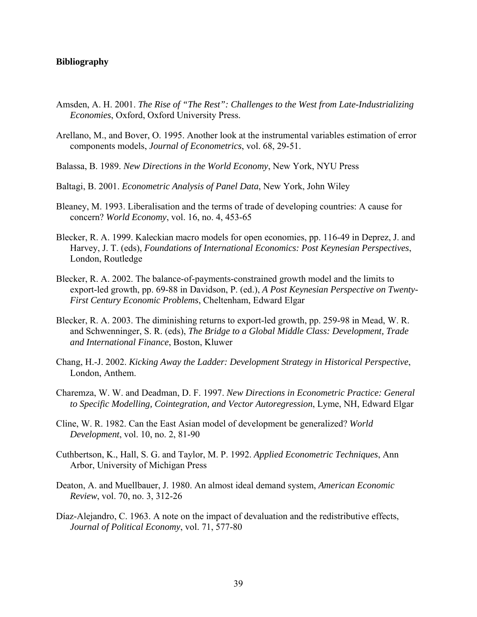#### **Bibliography**

- Amsden, A. H. 2001. *The Rise of "The Rest": Challenges to the West from Late-Industrializing Economies*, Oxford, Oxford University Press.
- Arellano, M., and Bover, O. 1995. Another look at the instrumental variables estimation of error components models, *Journal of Econometrics*, vol. 68, 29-51.
- Balassa, B. 1989. *New Directions in the World Economy*, New York, NYU Press
- Baltagi, B. 2001. *Econometric Analysis of Panel Data*, New York, John Wiley
- Bleaney, M. 1993. Liberalisation and the terms of trade of developing countries: A cause for concern? *World Economy*, vol. 16, no. 4, 453-65
- Blecker, R. A. 1999. Kaleckian macro models for open economies, pp. 116-49 in Deprez, J. and Harvey, J. T. (eds), *Foundations of International Economics: Post Keynesian Perspectives*, London, Routledge
- Blecker, R. A. 2002. The balance-of-payments-constrained growth model and the limits to export-led growth, pp. 69-88 in Davidson, P. (ed.), *A Post Keynesian Perspective on Twenty-First Century Economic Problems*, Cheltenham, Edward Elgar
- Blecker, R. A. 2003. The diminishing returns to export-led growth, pp. 259-98 in Mead, W. R. and Schwenninger, S. R. (eds), *The Bridge to a Global Middle Class: Development, Trade and International Finance*, Boston, Kluwer
- Chang, H.-J. 2002. *Kicking Away the Ladder: Development Strategy in Historical Perspective*, London, Anthem.
- Charemza, W. W. and Deadman, D. F. 1997. *New Directions in Econometric Practice: General to Specific Modelling, Cointegration, and Vector Autoregression*, Lyme, NH, Edward Elgar
- Cline, W. R. 1982. Can the East Asian model of development be generalized? *World Development*, vol. 10, no. 2, 81-90
- Cuthbertson, K., Hall, S. G. and Taylor, M. P. 1992. *Applied Econometric Techniques*, Ann Arbor, University of Michigan Press
- Deaton, A. and Muellbauer, J. 1980. An almost ideal demand system, *American Economic Review*, vol. 70, no. 3, 312-26
- Díaz-Alejandro, C. 1963. A note on the impact of devaluation and the redistributive effects, *Journal of Political Economy*, vol. 71, 577-80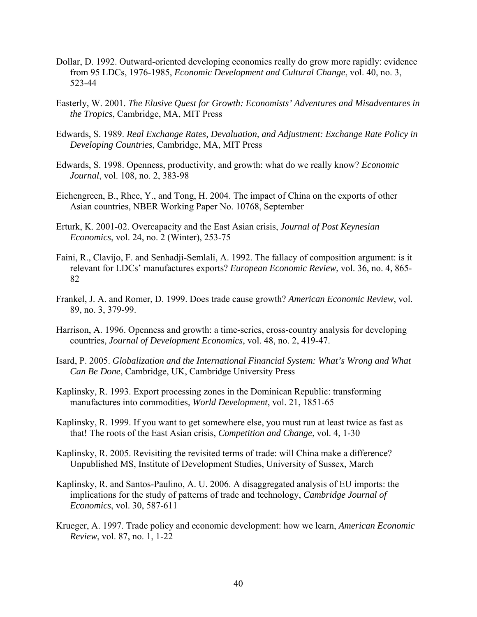- Dollar, D. 1992. Outward-oriented developing economies really do grow more rapidly: evidence from 95 LDCs, 1976-1985, *Economic Development and Cultural Change*, vol. 40, no. 3, 523-44
- Easterly, W. 2001. *The Elusive Quest for Growth: Economists' Adventures and Misadventures in the Tropics*, Cambridge, MA, MIT Press
- Edwards, S. 1989. *Real Exchange Rates, Devaluation, and Adjustment: Exchange Rate Policy in Developing Countries*, Cambridge, MA, MIT Press
- Edwards, S. 1998. Openness, productivity, and growth: what do we really know? *Economic Journal*, vol. 108, no. 2, 383-98
- Eichengreen, B., Rhee, Y., and Tong, H. 2004. The impact of China on the exports of other Asian countries, NBER Working Paper No. 10768, September
- Erturk, K. 2001-02. Overcapacity and the East Asian crisis, *Journal of Post Keynesian Economics*, vol. 24, no. 2 (Winter), 253-75
- Faini, R., Clavijo, F. and Senhadji-Semlali, A. 1992. The fallacy of composition argument: is it relevant for LDCs' manufactures exports? *European Economic Review*, vol. 36, no. 4, 865- 82
- Frankel, J. A. and Romer, D. 1999. Does trade cause growth? *American Economic Review*, vol. 89, no. 3, 379-99.
- Harrison, A. 1996. Openness and growth: a time-series, cross-country analysis for developing countries, *Journal of Development Economics*, vol. 48, no. 2, 419-47.
- Isard, P. 2005. *Globalization and the International Financial System: What's Wrong and What Can Be Done*, Cambridge, UK, Cambridge University Press
- Kaplinsky, R. 1993. Export processing zones in the Dominican Republic: transforming manufactures into commodities, *World Development*, vol. 21, 1851-65
- Kaplinsky, R. 1999. If you want to get somewhere else, you must run at least twice as fast as that! The roots of the East Asian crisis, *Competition and Change*, vol. 4, 1-30
- Kaplinsky, R. 2005. Revisiting the revisited terms of trade: will China make a difference? Unpublished MS, Institute of Development Studies, University of Sussex, March
- Kaplinsky, R. and Santos-Paulino, A. U. 2006. A disaggregated analysis of EU imports: the implications for the study of patterns of trade and technology, *Cambridge Journal of Economics*, vol. 30, 587-611
- Krueger, A. 1997. Trade policy and economic development: how we learn, *American Economic Review*, vol. 87, no. 1, 1-22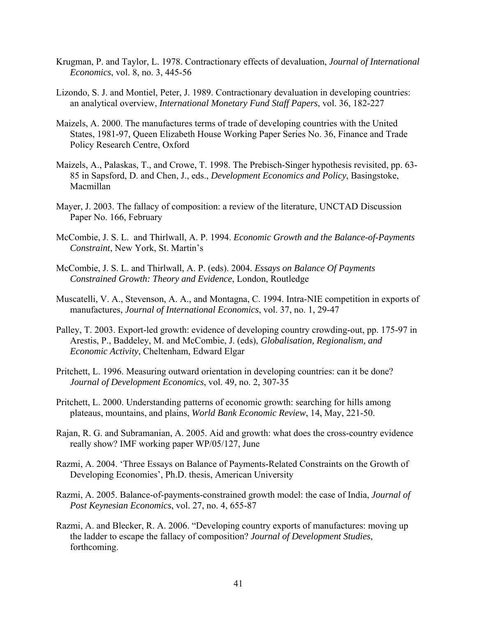- Krugman, P. and Taylor, L. 1978. Contractionary effects of devaluation, *Journal of International Economics*, vol. 8, no. 3, 445-56
- Lizondo, S. J. and Montiel, Peter, J. 1989. Contractionary devaluation in developing countries: an analytical overview, *International Monetary Fund Staff Papers*, vol. 36, 182-227
- Maizels, A. 2000. The manufactures terms of trade of developing countries with the United States, 1981-97, Queen Elizabeth House Working Paper Series No. 36, Finance and Trade Policy Research Centre, Oxford
- Maizels, A., Palaskas, T., and Crowe, T. 1998. The Prebisch-Singer hypothesis revisited, pp. 63- 85 in Sapsford, D. and Chen, J., eds., *Development Economics and Policy*, Basingstoke, Macmillan
- Mayer, J. 2003. The fallacy of composition: a review of the literature, UNCTAD Discussion Paper No. 166, February
- McCombie, J. S. L. and Thirlwall, A. P. 1994. *Economic Growth and the Balance-of-Payments Constraint*, New York, St. Martin's
- McCombie, J. S. L. and Thirlwall, A. P. (eds). 2004. *Essays on Balance Of Payments Constrained Growth: Theory and Evidence*, London, Routledge
- Muscatelli, V. A., Stevenson, A. A., and Montagna, C. 1994. Intra-NIE competition in exports of manufactures, *Journal of International Economics*, vol. 37, no. 1, 29-47
- Palley, T. 2003. Export-led growth: evidence of developing country crowding-out, pp. 175-97 in Arestis, P., Baddeley, M. and McCombie, J. (eds), *Globalisation, Regionalism, and Economic Activity*, Cheltenham, Edward Elgar
- Pritchett, L. 1996. Measuring outward orientation in developing countries: can it be done? *Journal of Development Economics*, vol. 49, no. 2, 307-35
- Pritchett, L. 2000. Understanding patterns of economic growth: searching for hills among plateaus, mountains, and plains, *World Bank Economic Review*, 14, May, 221-50.
- Rajan, R. G. and Subramanian, A. 2005. Aid and growth: what does the cross-country evidence really show? IMF working paper WP/05/127, June
- Razmi, A. 2004. 'Three Essays on Balance of Payments-Related Constraints on the Growth of Developing Economies', Ph.D. thesis, American University
- Razmi, A. 2005. Balance-of-payments-constrained growth model: the case of India, *Journal of Post Keynesian Economics*, vol. 27, no. 4, 655-87
- Razmi, A. and Blecker, R. A. 2006. "Developing country exports of manufactures: moving up the ladder to escape the fallacy of composition? *Journal of Development Studies*, forthcoming.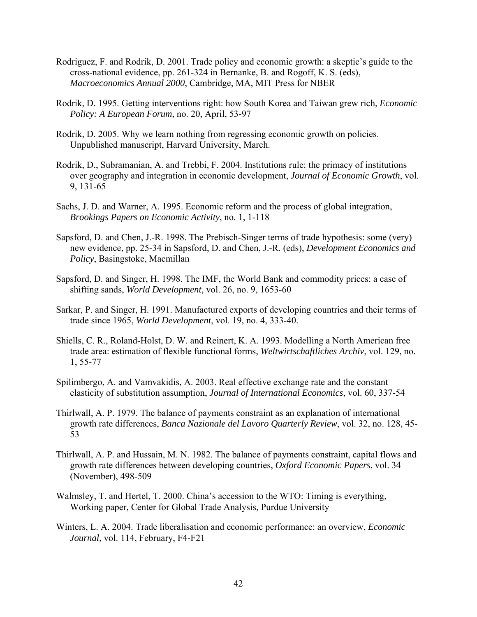- Rodriguez, F. and Rodrik, D. 2001. Trade policy and economic growth: a skeptic's guide to the cross-national evidence, pp. 261-324 in Bernanke, B. and Rogoff, K. S. (eds), *Macroeconomics Annual 2000*, Cambridge, MA, MIT Press for NBER
- Rodrik, D. 1995. Getting interventions right: how South Korea and Taiwan grew rich, *Economic Policy: A European Forum*, no. 20, April, 53-97
- Rodrik, D. 2005. Why we learn nothing from regressing economic growth on policies. Unpublished manuscript, Harvard University, March.
- Rodrik, D., Subramanian, A. and Trebbi, F. 2004. Institutions rule: the primacy of institutions over geography and integration in economic development, *Journal of Economic Growth*, vol. 9, 131-65
- Sachs, J. D. and Warner, A. 1995. Economic reform and the process of global integration, *Brookings Papers on Economic Activity*, no. 1, 1-118
- Sapsford, D. and Chen, J.-R. 1998. The Prebisch-Singer terms of trade hypothesis: some (very) new evidence, pp. 25-34 in Sapsford, D. and Chen, J.-R. (eds), *Development Economics and Policy*, Basingstoke, Macmillan
- Sapsford, D. and Singer, H. 1998. The IMF, the World Bank and commodity prices: a case of shifting sands, *World Development*, vol. 26, no. 9, 1653-60
- Sarkar, P. and Singer, H. 1991. Manufactured exports of developing countries and their terms of trade since 1965, *World Development*, vol. 19, no. 4, 333-40.
- Shiells, C. R., Roland-Holst, D. W. and Reinert, K. A. 1993. Modelling a North American free trade area: estimation of flexible functional forms, *Weltwirtschaftliches Archiv*, vol. 129, no. 1, 55-77
- Spilimbergo, A. and Vamvakidis, A. 2003. Real effective exchange rate and the constant elasticity of substitution assumption, *Journal of International Economics*, vol. 60, 337-54
- Thirlwall, A. P. 1979. The balance of payments constraint as an explanation of international growth rate differences, *Banca Nazionale del Lavoro Quarterly Review*, vol. 32, no. 128, 45- 53
- Thirlwall, A. P. and Hussain, M. N. 1982. The balance of payments constraint, capital flows and growth rate differences between developing countries, *Oxford Economic Papers*, vol. 34 (November), 498-509
- Walmsley, T. and Hertel, T. 2000. China's accession to the WTO: Timing is everything, Working paper, Center for Global Trade Analysis, Purdue University
- Winters, L. A. 2004. Trade liberalisation and economic performance: an overview, *Economic Journal*, vol. 114, February, F4-F21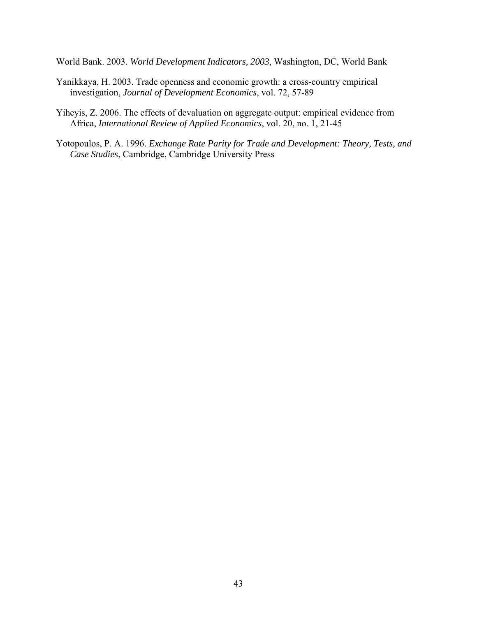World Bank. 2003. *World Development Indicators, 2003*, Washington, DC, World Bank

- Yanikkaya, H. 2003. Trade openness and economic growth: a cross-country empirical investigation, *Journal of Development Economics*, vol. 72, 57-89
- Yiheyis, Z. 2006. The effects of devaluation on aggregate output: empirical evidence from Africa, *International Review of Applied Economics*, vol. 20, no. 1, 21-45
- Yotopoulos, P. A. 1996. *Exchange Rate Parity for Trade and Development: Theory, Tests, and Case Studies*, Cambridge, Cambridge University Press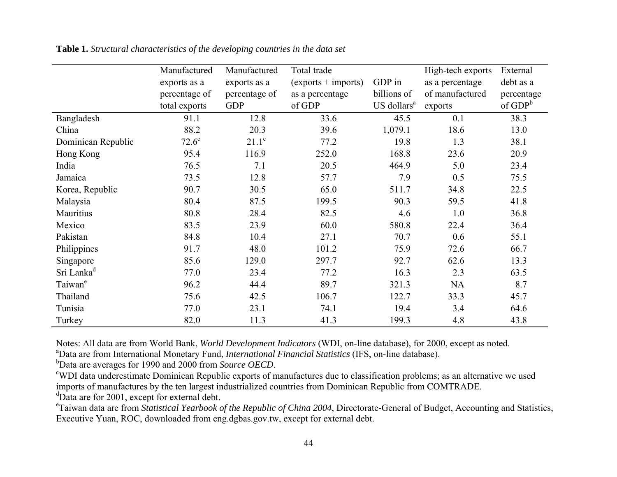|                        | Manufactured  | Manufactured  | Total trade           |                         | High-tech exports | External   |
|------------------------|---------------|---------------|-----------------------|-------------------------|-------------------|------------|
|                        | exports as a  | exports as a  | $(exports + imports)$ | GDP in                  | as a percentage   | debt as a  |
|                        | percentage of | percentage of | as a percentage       | billions of             | of manufactured   | percentage |
|                        | total exports | <b>GDP</b>    | of GDP                | US dollars <sup>a</sup> | exports           | of $GDP^b$ |
| Bangladesh             | 91.1          | 12.8          | 33.6                  | 45.5                    | 0.1               | 38.3       |
| China                  | 88.2          | 20.3          | 39.6                  | 1,079.1                 | 18.6              | 13.0       |
| Dominican Republic     | $72.6^\circ$  | $21.1^\circ$  | 77.2                  | 19.8                    | 1.3               | 38.1       |
| Hong Kong              | 95.4          | 116.9         | 252.0                 | 168.8                   | 23.6              | 20.9       |
| India                  | 76.5          | 7.1           | 20.5                  | 464.9                   | 5.0               | 23.4       |
| Jamaica                | 73.5          | 12.8          | 57.7                  | 7.9                     | 0.5               | 75.5       |
| Korea, Republic        | 90.7          | 30.5          | 65.0                  | 511.7                   | 34.8              | 22.5       |
| Malaysia               | 80.4          | 87.5          | 199.5                 | 90.3                    | 59.5              | 41.8       |
| Mauritius              | 80.8          | 28.4          | 82.5                  | 4.6                     | 1.0               | 36.8       |
| Mexico                 | 83.5          | 23.9          | 60.0                  | 580.8                   | 22.4              | 36.4       |
| Pakistan               | 84.8          | 10.4          | 27.1                  | 70.7                    | 0.6               | 55.1       |
| Philippines            | 91.7          | 48.0          | 101.2                 | 75.9                    | 72.6              | 66.7       |
| Singapore              | 85.6          | 129.0         | 297.7                 | 92.7                    | 62.6              | 13.3       |
| Sri Lanka <sup>d</sup> | 77.0          | 23.4          | 77.2                  | 16.3                    | 2.3               | 63.5       |
| Taiwan <sup>e</sup>    | 96.2          | 44.4          | 89.7                  | 321.3                   | NA                | 8.7        |
| Thailand               | 75.6          | 42.5          | 106.7                 | 122.7                   | 33.3              | 45.7       |
| Tunisia                | 77.0          | 23.1          | 74.1                  | 19.4                    | 3.4               | 64.6       |
| Turkey                 | 82.0          | 11.3          | 41.3                  | 199.3                   | 4.8               | 43.8       |

**Table 1.** *Structural characteristics of the developing countries in the data set*

Notes: All data are from World Bank, *World Development Indicators* (WDI, on-line database), for 2000, except as noted.

aData are from International Monetary Fund, *International Financial Statistics* (IFS, on-line database).

bData are averages for 1990 and 2000 from *Source OECD*.

cWDI data underestimate Dominican Republic exports of manufactures due to classification problems; as an alternative we used imports of manufactures by the ten largest industrialized countries from Dominican Republic from COMTRADE.

<sup>d</sup>Data are for 2001, except for external debt.

eTaiwan data are from *Statistical Yearbook of the Republic of China 2004*, Directorate-General of Budget, Accounting and Statistics, Executive Yuan, ROC, downloaded from eng.dgbas.gov.tw, except for external debt.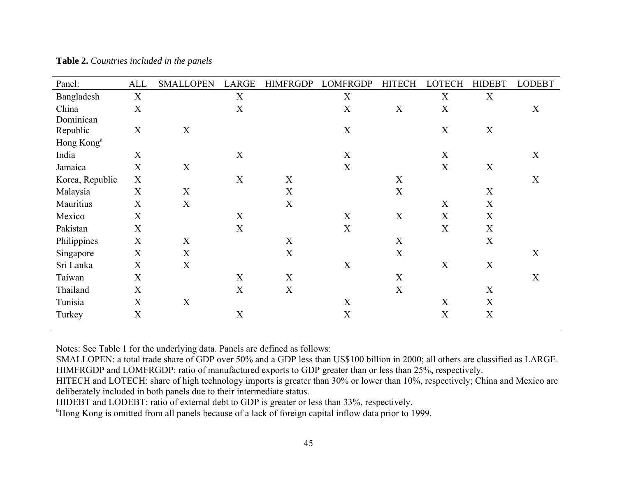| Panel:                 | <b>ALL</b>  | <b>SMALLOPEN</b> | LARGE                     | <b>HIMFRGDP</b>  | <b>LOMFRGDP</b>           | <b>HITECH</b>    | <b>LOTECH</b> | <b>HIDEBT</b>    | <b>LODEBT</b> |
|------------------------|-------------|------------------|---------------------------|------------------|---------------------------|------------------|---------------|------------------|---------------|
| Bangladesh             | $\mathbf X$ |                  | $\mathbf X$               |                  | $\mathbf X$               |                  | $\mathbf X$   | $\mathbf X$      |               |
| China                  | $\mathbf X$ |                  | $\boldsymbol{\mathrm{X}}$ |                  | $\boldsymbol{\mathrm{X}}$ | $\mathbf X$      | $\mathbf X$   |                  | X             |
| Dominican              |             |                  |                           |                  |                           |                  |               |                  |               |
| Republic               | X           | $\boldsymbol{X}$ |                           |                  | $\mathbf X$               |                  | $\mathbf X$   | $\boldsymbol{X}$ |               |
| Hong Kong <sup>a</sup> |             |                  |                           |                  |                           |                  |               |                  |               |
| India                  | $\mathbf X$ |                  | X                         |                  | X                         |                  | X             |                  | X             |
| Jamaica                | X           | $\boldsymbol{X}$ |                           |                  | X                         |                  | X             | X                |               |
| Korea, Republic        | $\mathbf X$ |                  | X                         | X                |                           | $\mathbf X$      |               |                  | $\mathbf X$   |
| Malaysia               | $\mathbf X$ | X                |                           | X                |                           | X                |               | X                |               |
| Mauritius              | $\mathbf X$ | $\mathbf X$      |                           | $\mathbf X$      |                           |                  | X             | X                |               |
| Mexico                 | $\mathbf X$ |                  | $\mathbf X$               |                  | $\mathbf X$               | $\mathbf X$      | X             | $\mathbf X$      |               |
| Pakistan               | $\mathbf X$ |                  | X                         |                  | X                         |                  | X             | $\boldsymbol{X}$ |               |
| Philippines            | X           | $\boldsymbol{X}$ |                           | $\mathbf X$      |                           | $\boldsymbol{X}$ |               | $\mathbf X$      |               |
| Singapore              | $\mathbf X$ | $\mathbf X$      |                           | $\mathbf X$      |                           | X                |               |                  | X             |
| Sri Lanka              | $\mathbf X$ | X                |                           |                  | X                         |                  | X             | $\boldsymbol{X}$ |               |
| Taiwan                 | $\mathbf X$ |                  | X                         | $\boldsymbol{X}$ |                           | X                |               |                  | X             |
| Thailand               | X           |                  | X                         | X                |                           | X                |               | X                |               |
| Tunisia                | $\mathbf X$ | X                |                           |                  | X                         |                  | X             | X                |               |
| Turkey                 | X           |                  | $\mathbf X$               |                  | X                         |                  | X             | $\boldsymbol{X}$ |               |
|                        |             |                  |                           |                  |                           |                  |               |                  |               |

**Table 2.** *Countries included in the panels*

Notes: See Table 1 for the underlying data. Panels are defined as follows:

SMALLOPEN: a total trade share of GDP over 50% and a GDP less than US\$100 billion in 2000; all others are classified as LARGE. HIMFRGDP and LOMFRGDP: ratio of manufactured exports to GDP greater than or less than 25%, respectively.

HIDEBT and LODEBT: ratio of external debt to GDP is greater or less than 33%, respectively.

<sup>a</sup>Hong Kong is omitted from all panels because of a lack of foreign capital inflow data prior to 1999.

HITECH and LOTECH: share of high technology imports is greater than 30% or lower than 10%, respectively; China and Mexico are deliberately included in both panels due to their intermediate status.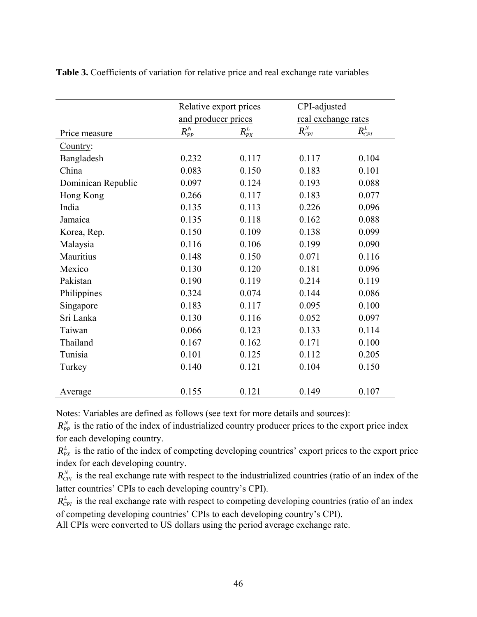|                    | Relative export prices                             |             | CPI-adjusted        |             |
|--------------------|----------------------------------------------------|-------------|---------------------|-------------|
|                    | and producer prices                                |             | real exchange rates |             |
| Price measure      | $R_{\scriptscriptstyle PP}^{\scriptscriptstyle N}$ | $R^L_{P X}$ | $R_{CPI}^N$         | $R_{CPI}^L$ |
| Country:           |                                                    |             |                     |             |
| Bangladesh         | 0.232                                              | 0.117       | 0.117               | 0.104       |
| China              | 0.083                                              | 0.150       | 0.183               | 0.101       |
| Dominican Republic | 0.097                                              | 0.124       | 0.193               | 0.088       |
| Hong Kong          | 0.266                                              | 0.117       | 0.183               | 0.077       |
| India              | 0.135                                              | 0.113       | 0.226               | 0.096       |
| Jamaica            | 0.135                                              | 0.118       | 0.162               | 0.088       |
| Korea, Rep.        | 0.150                                              | 0.109       | 0.138               | 0.099       |
| Malaysia           | 0.116                                              | 0.106       | 0.199               | 0.090       |
| Mauritius          | 0.148                                              | 0.150       | 0.071               | 0.116       |
| Mexico             | 0.130                                              | 0.120       | 0.181               | 0.096       |
| Pakistan           | 0.190                                              | 0.119       | 0.214               | 0.119       |
| Philippines        | 0.324                                              | 0.074       | 0.144               | 0.086       |
| Singapore          | 0.183                                              | 0.117       | 0.095               | 0.100       |
| Sri Lanka          | 0.130                                              | 0.116       | 0.052               | 0.097       |
| Taiwan             | 0.066                                              | 0.123       | 0.133               | 0.114       |
| Thailand           | 0.167                                              | 0.162       | 0.171               | 0.100       |
| Tunisia            | 0.101                                              | 0.125       | 0.112               | 0.205       |
| Turkey             | 0.140                                              | 0.121       | 0.104               | 0.150       |
|                    |                                                    |             |                     |             |
| Average            | 0.155                                              | 0.121       | 0.149               | 0.107       |

**Table 3.** Coefficients of variation for relative price and real exchange rate variables

Notes: Variables are defined as follows (see text for more details and sources):

 $R_{PP}^{N}$  is the ratio of the index of industrialized country producer prices to the export price index for each developing country.

 $R_{PX}^L$  is the ratio of the index of competing developing countries' export prices to the export price index for each developing country.

 $R_{\text{CPI}}^{N}$  is the real exchange rate with respect to the industrialized countries (ratio of an index of the latter countries' CPIs to each developing country's CPI).

 $R_{CPI}^L$  is the real exchange rate with respect to competing developing countries (ratio of an index of competing developing countries' CPIs to each developing country's CPI).

All CPIs were converted to US dollars using the period average exchange rate.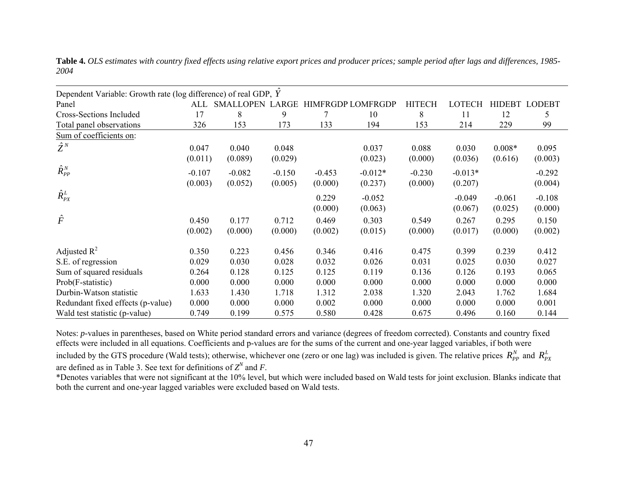| Dependent Variable: Growth rate (log difference) of real GDP, Y |          |                     |          |          |                          |               |           |          |               |
|-----------------------------------------------------------------|----------|---------------------|----------|----------|--------------------------|---------------|-----------|----------|---------------|
| Panel                                                           |          | ALL SMALLOPEN LARGE |          |          | <b>HIMFRGDP LOMFRGDP</b> | <b>HITECH</b> | LOTECH    |          | HIDEBT LODEBT |
| Cross-Sections Included                                         | 17       | 8                   | 9        | 7        | 10                       | 8             | 11        | 12       | 5             |
| Total panel observations                                        | 326      | 153                 | 173      | 133      | 194                      | 153           | 214       | 229      | 99            |
| Sum of coefficients on:                                         |          |                     |          |          |                          |               |           |          |               |
| $\hat{Z}^N$                                                     | 0.047    | 0.040               | 0.048    |          | 0.037                    | 0.088         | 0.030     | $0.008*$ | 0.095         |
|                                                                 | (0.011)  | (0.089)             | (0.029)  |          | (0.023)                  | (0.000)       | (0.036)   | (0.616)  | (0.003)       |
| $\hat{R}^N_{PP}$                                                | $-0.107$ | $-0.082$            | $-0.150$ | $-0.453$ | $-0.012*$                | $-0.230$      | $-0.013*$ |          | $-0.292$      |
|                                                                 | (0.003)  | (0.052)             | (0.005)  | (0.000)  | (0.237)                  | (0.000)       | (0.207)   |          | (0.004)       |
| $\hat{R}_{PX}^L$                                                |          |                     |          |          |                          |               |           |          |               |
|                                                                 |          |                     |          | 0.229    | $-0.052$                 |               | $-0.049$  | $-0.061$ | $-0.108$      |
|                                                                 |          |                     |          | (0.000)  | (0.063)                  |               | (0.067)   | (0.025)  | (0.000)       |
| $\hat{F}$                                                       | 0.450    | 0.177               | 0.712    | 0.469    | 0.303                    | 0.549         | 0.267     | 0.295    | 0.150         |
|                                                                 | (0.002)  | (0.000)             | (0.000)  | (0.002)  | (0.015)                  | (0.000)       | (0.017)   | (0.000)  | (0.002)       |
| Adjusted $R^2$                                                  | 0.350    | 0.223               | 0.456    | 0.346    | 0.416                    | 0.475         | 0.399     | 0.239    | 0.412         |
| S.E. of regression                                              | 0.029    | 0.030               | 0.028    | 0.032    | 0.026                    | 0.031         | 0.025     | 0.030    | 0.027         |
| Sum of squared residuals                                        | 0.264    | 0.128               | 0.125    | 0.125    | 0.119                    | 0.136         | 0.126     | 0.193    | 0.065         |
| Prob(F-statistic)                                               | 0.000    | 0.000               | 0.000    | 0.000    | 0.000                    | 0.000         | 0.000     | 0.000    | 0.000         |
| Durbin-Watson statistic                                         | 1.633    | 1.430               | 1.718    | 1.312    | 2.038                    | 1.320         | 2.043     | 1.762    | 1.684         |
| Redundant fixed effects (p-value)                               | 0.000    | 0.000               | 0.000    | 0.002    | 0.000                    | 0.000         | 0.000     | 0.000    | 0.001         |
| Wald test statistic (p-value)                                   | 0.749    | 0.199               | 0.575    | 0.580    | 0.428                    | 0.675         | 0.496     | 0.160    | 0.144         |

**Table 4.** *OLS estimates with country fixed effects using relative export prices and producer prices; sample period after lags and differences, 1985- 2004*

Notes: *p*-values in parentheses, based on White period standard errors and variance (degrees of freedom corrected). Constants and country fixed effects were included in all equations. Coefficients and p-values are for the sums of the current and one-year lagged variables, if both were

included by the GTS procedure (Wald tests); otherwise, whichever one (zero or one lag) was included is given. The relative prices  $R_{PP}^N$  and  $R_{PX}^L$ are defined as in Table 3. See text for definitions of  $Z^N$  and F.

\*Denotes variables that were not significant at the 10% level, but which were included based on Wald tests for joint exclusion. Blanks indicate that both the current and one-year lagged variables were excluded based on Wald tests.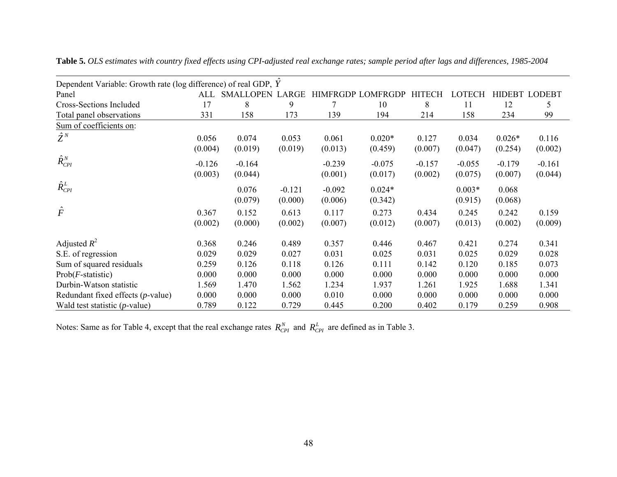| Dependent Variable: Growth rate (log difference) of real GDP, Y |                  |                     |                     |                     |                          |                  |                     |                  |                      |
|-----------------------------------------------------------------|------------------|---------------------|---------------------|---------------------|--------------------------|------------------|---------------------|------------------|----------------------|
| Panel                                                           |                  | ALL SMALLOPEN LARGE |                     |                     | <b>HIMFRGDP LOMFRGDP</b> | <b>HITECH</b>    | LOTECH              |                  | <b>HIDEBT LODEBT</b> |
| <b>Cross-Sections Included</b>                                  | 17               | 8                   | 9                   | 7                   | 10                       | 8                | 11                  | 12               | 5                    |
| Total panel observations                                        | 331              | 158                 | 173                 | 139                 | 194                      | 214              | 158                 | 234              | 99                   |
| Sum of coefficients on:                                         |                  |                     |                     |                     |                          |                  |                     |                  |                      |
| $\hat{Z}^N$                                                     | 0.056            | 0.074               | 0.053               | 0.061               | $0.020*$                 | 0.127            | 0.034               | $0.026*$         | 0.116                |
|                                                                 | (0.004)          | (0.019)             | (0.019)             | (0.013)             | (0.459)                  | (0.007)          | (0.047)             | (0.254)          | (0.002)              |
| $\hat{R}_{CPI}^N$                                               | $-0.126$         | $-0.164$            |                     | $-0.239$            | $-0.075$                 | $-0.157$         | $-0.055$            | $-0.179$         | $-0.161$             |
|                                                                 | (0.003)          | (0.044)             |                     | (0.001)             | (0.017)                  | (0.002)          | (0.075)             | (0.007)          | (0.044)              |
| $\hat{R}_{CPI}^L$                                               |                  | 0.076<br>(0.079)    | $-0.121$<br>(0.000) | $-0.092$<br>(0.006) | $0.024*$<br>(0.342)      |                  | $0.003*$<br>(0.915) | 0.068<br>(0.068) |                      |
| $\hat{F}$                                                       | 0.367<br>(0.002) | 0.152<br>(0.000)    | 0.613<br>(0.002)    | 0.117<br>(0.007)    | 0.273<br>(0.012)         | 0.434<br>(0.007) | 0.245<br>(0.013)    | 0.242<br>(0.002) | 0.159<br>(0.009)     |
| Adjusted $R^2$                                                  | 0.368            | 0.246               | 0.489               | 0.357               | 0.446                    | 0.467            | 0.421               | 0.274            | 0.341                |
| S.E. of regression                                              | 0.029            | 0.029               | 0.027               | 0.031               | 0.025                    | 0.031            | 0.025               | 0.029            | 0.028                |
| Sum of squared residuals                                        | 0.259            | 0.126               | 0.118               | 0.126               | 0.111                    | 0.142            | 0.120               | 0.185            | 0.073                |
| $Prob(F\text{-statistic})$                                      | 0.000            | 0.000               | 0.000               | 0.000               | 0.000                    | 0.000            | 0.000               | 0.000            | 0.000                |
| Durbin-Watson statistic                                         | 1.569            | 1.470               | 1.562               | 1.234               | 1.937                    | 1.261            | 1.925               | 1.688            | 1.341                |
| Redundant fixed effects ( <i>p</i> -value)                      | 0.000            | 0.000               | 0.000               | 0.010               | 0.000                    | 0.000            | 0.000               | 0.000            | 0.000                |
| Wald test statistic $(p$ -value)                                | 0.789            | 0.122               | 0.729               | 0.445               | 0.200                    | 0.402            | 0.179               | 0.259            | 0.908                |

**Table 5.** *OLS estimates with country fixed effects using CPI-adjusted real exchange rates; sample period after lags and differences, 1985-2004*

Notes: Same as for Table 4, except that the real exchange rates  $R_{\text{CP}I}^{N}$  and  $R_{\text{CP}I}^{L}$  are defined as in Table 3.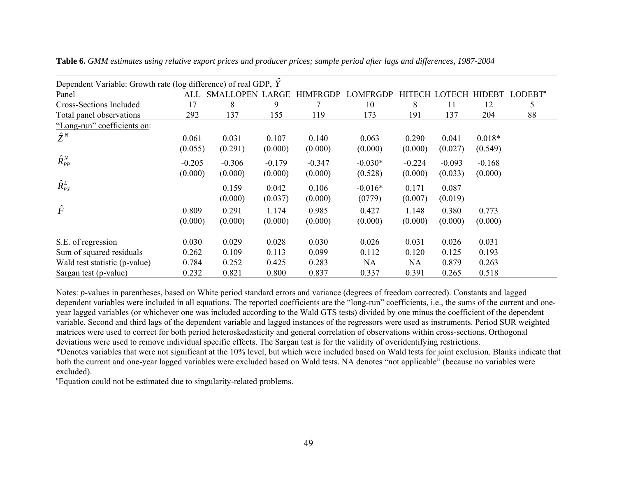| Dependent Variable: Growth rate (log difference) of real GDP, Y |          |                        |          |                 |                 |               |               |               |                     |
|-----------------------------------------------------------------|----------|------------------------|----------|-----------------|-----------------|---------------|---------------|---------------|---------------------|
| Panel                                                           | ALL      | <b>SMALLOPEN LARGE</b> |          | <b>HIMFRGDP</b> | <b>LOMFRGDP</b> | <b>HITECH</b> | <b>LOTECH</b> | <b>HIDEBT</b> | LODEBT <sup>a</sup> |
| Cross-Sections Included                                         | 17       | 8                      | 9        |                 | 10              | 8             | 11            | 12            | 5                   |
| Total panel observations                                        | 292      | 137                    | 155      | 119             | 173             | 191           | 137           | 204           | 88                  |
| "Long-run" coefficients on:                                     |          |                        |          |                 |                 |               |               |               |                     |
| $\hat{Z}^N$                                                     | 0.061    | 0.031                  | 0.107    | 0.140           | 0.063           | 0.290         | 0.041         | $0.018*$      |                     |
|                                                                 | (0.055)  | (0.291)                | (0.000)  | (0.000)         | (0.000)         | (0.000)       | (0.027)       | (0.549)       |                     |
| $\hat{R}^N_{PP}$                                                | $-0.205$ | $-0.306$               | $-0.179$ | $-0.347$        | $-0.030*$       | $-0.224$      | $-0.093$      | $-0.168$      |                     |
|                                                                 | (0.000)  | (0.000)                | (0.000)  | (0.000)         | (0.528)         | (0.000)       | (0.033)       | (0.000)       |                     |
| $\hat{R}_{PX}^L$                                                |          | 0.159                  | 0.042    | 0.106           | $-0.016*$       | 0.171         | 0.087         |               |                     |
|                                                                 |          | (0.000)                | (0.037)  | (0.000)         | (0779)          | (0.007)       | (0.019)       |               |                     |
| $\hat{F}$                                                       | 0.809    | 0.291                  | 1.174    | 0.985           | 0.427           | 1.148         | 0.380         | 0.773         |                     |
|                                                                 | (0.000)  | (0.000)                | (0.000)  | (0.000)         | (0.000)         | (0.000)       | (0.000)       | (0.000)       |                     |
| S.E. of regression                                              | 0.030    | 0.029                  | 0.028    | 0.030           | 0.026           | 0.031         | 0.026         | 0.031         |                     |
| Sum of squared residuals                                        | 0.262    | 0.109                  | 0.113    | 0.099           | 0.112           | 0.120         | 0.125         | 0.193         |                     |
| Wald test statistic (p-value)                                   | 0.784    | 0.252                  | 0.425    | 0.283           | <b>NA</b>       | NA.           | 0.879         | 0.263         |                     |
| Sargan test (p-value)                                           | 0.232    | 0.821                  | 0.800    | 0.837           | 0.337           | 0.391         | 0.265         | 0.518         |                     |

**Table 6.** *GMM estimates using relative export prices and producer prices; sample period after lags and differences, 1987-2004*

Notes: *p*-values in parentheses, based on White period standard errors and variance (degrees of freedom corrected). Constants and lagged dependent variables were included in all equations. The reported coefficients are the "long-run" coefficients, i.e., the sums of the current and oneyear lagged variables (or whichever one was included according to the Wald GTS tests) divided by one minus the coefficient of the dependent variable. Second and third lags of the dependent variable and lagged instances of the regressors were used as instruments. Period SUR weighted matrices were used to correct for both period heteroskedasticity and general correlation of observations within cross-sections. Orthogonal deviations were used to remove individual specific effects. The Sargan test is for the validity of overidentifying restrictions. \*Denotes variables that were not significant at the 10% level, but which were included based on Wald tests for joint exclusion. Blanks indicate that both the current and one-year lagged variables were excluded based on Wald tests. NA denotes "not applicable" (because no variables were excluded).

<sup>a</sup>Equation could not be estimated due to singularity-related problems.